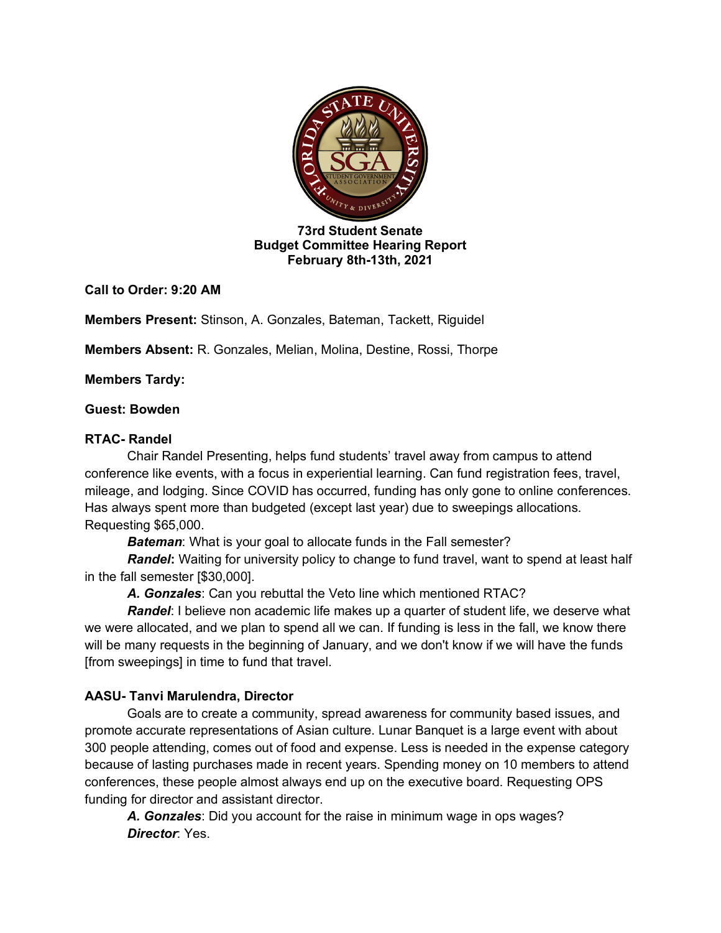

**73rd Student Senate Budget Committee Hearing Report February 8th-13th, 2021**

**Call to Order: 9:20 AM**

**Members Present:** Stinson, A. Gonzales, Bateman, Tackett, Riguidel

**Members Absent:** R. Gonzales, Melian, Molina, Destine, Rossi, Thorpe

**Members Tardy:** 

### **Guest: Bowden**

### **RTAC- Randel**

Chair Randel Presenting, helps fund students' travel away from campus to attend conference like events, with a focus in experiential learning. Can fund registration fees, travel, mileage, and lodging. Since COVID has occurred, funding has only gone to online conferences. Has always spent more than budgeted (except last year) due to sweepings allocations. Requesting \$65,000.

**Bateman:** What is your goal to allocate funds in the Fall semester?

*Randel***:** Waiting for university policy to change to fund travel, want to spend at least half in the fall semester [\$30,000].

*A. Gonzales*: Can you rebuttal the Veto line which mentioned RTAC?

*Randel*: I believe non academic life makes up a quarter of student life, we deserve what we were allocated, and we plan to spend all we can. If funding is less in the fall, we know there will be many requests in the beginning of January, and we don't know if we will have the funds [from sweepings] in time to fund that travel.

# **AASU- Tanvi Marulendra, Director**

Goals are to create a community, spread awareness for community based issues, and promote accurate representations of Asian culture. Lunar Banquet is a large event with about 300 people attending, comes out of food and expense. Less is needed in the expense category because of lasting purchases made in recent years. Spending money on 10 members to attend conferences, these people almost always end up on the executive board. Requesting OPS funding for director and assistant director.

*A. Gonzales*: Did you account for the raise in minimum wage in ops wages? *Director*: Yes.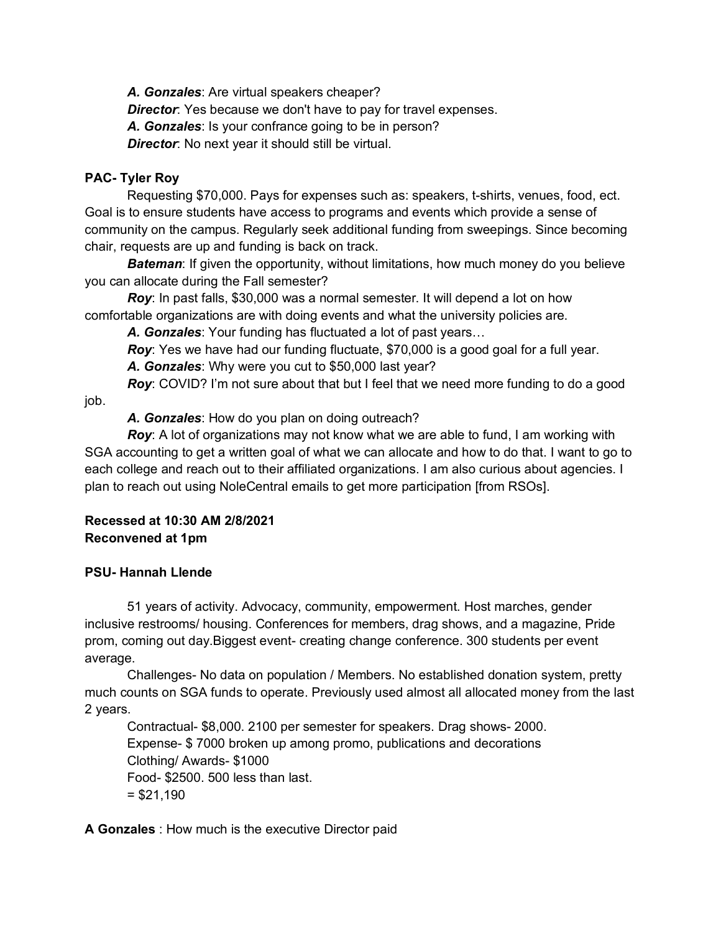*A. Gonzales*: Are virtual speakers cheaper? *Director*: Yes because we don't have to pay for travel expenses. *A. Gonzales*: Is your confrance going to be in person? *Director*: No next year it should still be virtual.

# **PAC- Tyler Roy**

Requesting \$70,000. Pays for expenses such as: speakers, t-shirts, venues, food, ect. Goal is to ensure students have access to programs and events which provide a sense of community on the campus. Regularly seek additional funding from sweepings. Since becoming chair, requests are up and funding is back on track.

*Bateman*: If given the opportunity, without limitations, how much money do you believe you can allocate during the Fall semester?

*Roy*: In past falls, \$30,000 was a normal semester. It will depend a lot on how comfortable organizations are with doing events and what the university policies are.

*A. Gonzales*: Your funding has fluctuated a lot of past years…

*Roy*: Yes we have had our funding fluctuate, \$70,000 is a good goal for a full year. *A. Gonzales*: Why were you cut to \$50,000 last year?

**Roy:** COVID? I'm not sure about that but I feel that we need more funding to do a good

job.

*A. Gonzales*: How do you plan on doing outreach?

**Roy**: A lot of organizations may not know what we are able to fund, I am working with SGA accounting to get a written goal of what we can allocate and how to do that. I want to go to each college and reach out to their affiliated organizations. I am also curious about agencies. I plan to reach out using NoleCentral emails to get more participation [from RSOs].

# **Recessed at 10:30 AM 2/8/2021 Reconvened at 1pm**

# **PSU- Hannah Llende**

51 years of activity. Advocacy, community, empowerment. Host marches, gender inclusive restrooms/ housing. Conferences for members, drag shows, and a magazine, Pride prom, coming out day.Biggest event- creating change conference. 300 students per event average.

Challenges- No data on population / Members. No established donation system, pretty much counts on SGA funds to operate. Previously used almost all allocated money from the last 2 years.

Contractual- \$8,000. 2100 per semester for speakers. Drag shows- 2000. Expense- \$ 7000 broken up among promo, publications and decorations Clothing/ Awards- \$1000 Food- \$2500. 500 less than last.  $= $21,190$ 

**A Gonzales** : How much is the executive Director paid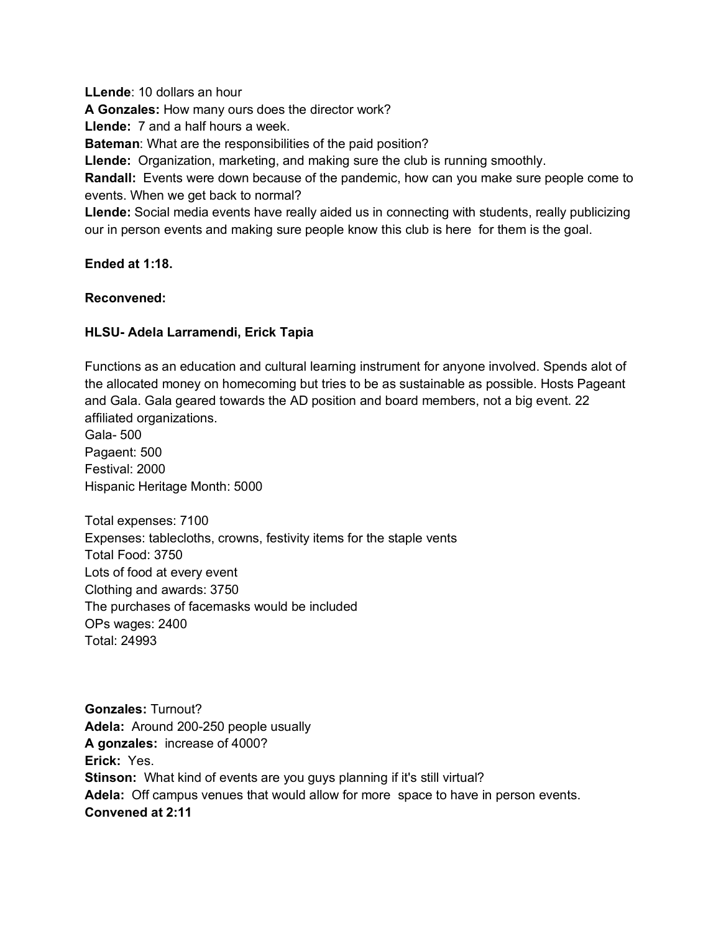**LLende**: 10 dollars an hour **A Gonzales:** How many ours does the director work? **Llende:** 7 and a half hours a week. **Bateman**: What are the responsibilities of the paid position? **Llende:** Organization, marketing, and making sure the club is running smoothly. **Randall:** Events were down because of the pandemic, how can you make sure people come to events. When we get back to normal? **Llende:** Social media events have really aided us in connecting with students, really publicizing our in person events and making sure people know this club is here for them is the goal.

### **Ended at 1:18.**

#### **Reconvened:**

### **HLSU- Adela Larramendi, Erick Tapia**

Functions as an education and cultural learning instrument for anyone involved. Spends alot of the allocated money on homecoming but tries to be as sustainable as possible. Hosts Pageant and Gala. Gala geared towards the AD position and board members, not a big event. 22 affiliated organizations.

Gala- 500 Pagaent: 500 Festival: 2000 Hispanic Heritage Month: 5000

Total expenses: 7100 Expenses: tablecloths, crowns, festivity items for the staple vents Total Food: 3750 Lots of food at every event Clothing and awards: 3750 The purchases of facemasks would be included OPs wages: 2400 Total: 24993

**Gonzales:** Turnout? **Adela:** Around 200-250 people usually **A gonzales:** increase of 4000? **Erick:** Yes. **Stinson:** What kind of events are you guys planning if it's still virtual? **Adela:** Off campus venues that would allow for more space to have in person events. **Convened at 2:11**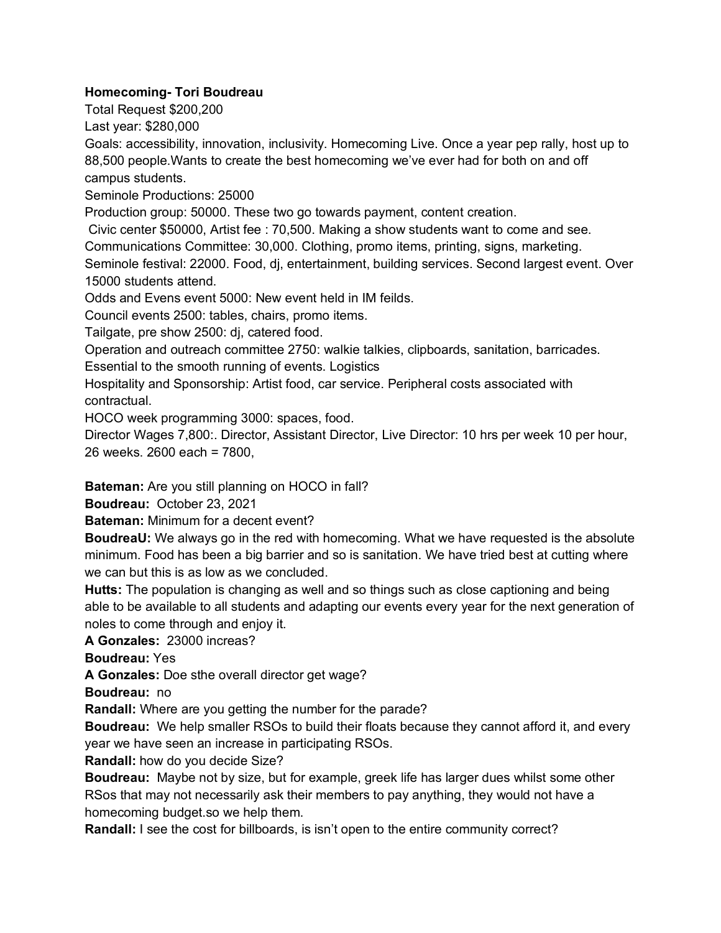# **Homecoming- Tori Boudreau**

Total Request \$200,200

Last year: \$280,000

Goals: accessibility, innovation, inclusivity. Homecoming Live. Once a year pep rally, host up to 88,500 people.Wants to create the best homecoming we've ever had for both on and off campus students.

Seminole Productions: 25000

Production group: 50000. These two go towards payment, content creation.

Civic center \$50000, Artist fee : 70,500. Making a show students want to come and see. Communications Committee: 30,000. Clothing, promo items, printing, signs, marketing. Seminole festival: 22000. Food, dj, entertainment, building services. Second largest event. Over 15000 students attend.

Odds and Evens event 5000: New event held in IM feilds.

Council events 2500: tables, chairs, promo items.

Tailgate, pre show 2500: dj, catered food.

Operation and outreach committee 2750: walkie talkies, clipboards, sanitation, barricades. Essential to the smooth running of events. Logistics

Hospitality and Sponsorship: Artist food, car service. Peripheral costs associated with contractual.

HOCO week programming 3000: spaces, food.

Director Wages 7,800:. Director, Assistant Director, Live Director: 10 hrs per week 10 per hour, 26 weeks. 2600 each = 7800,

**Bateman:** Are you still planning on HOCO in fall?

**Boudreau:** October 23, 2021

**Bateman:** Minimum for a decent event?

**BoudreaU:** We always go in the red with homecoming. What we have requested is the absolute minimum. Food has been a big barrier and so is sanitation. We have tried best at cutting where we can but this is as low as we concluded.

**Hutts:** The population is changing as well and so things such as close captioning and being able to be available to all students and adapting our events every year for the next generation of noles to come through and enjoy it.

**A Gonzales:** 23000 increas?

**Boudreau:** Yes

**A Gonzales:** Doe sthe overall director get wage?

**Boudreau:** no

**Randall:** Where are you getting the number for the parade?

**Boudreau:** We help smaller RSOs to build their floats because they cannot afford it, and every year we have seen an increase in participating RSOs.

**Randall:** how do you decide Size?

**Boudreau:** Maybe not by size, but for example, greek life has larger dues whilst some other RSos that may not necessarily ask their members to pay anything, they would not have a homecoming budget.so we help them.

**Randall:** I see the cost for billboards, is isn't open to the entire community correct?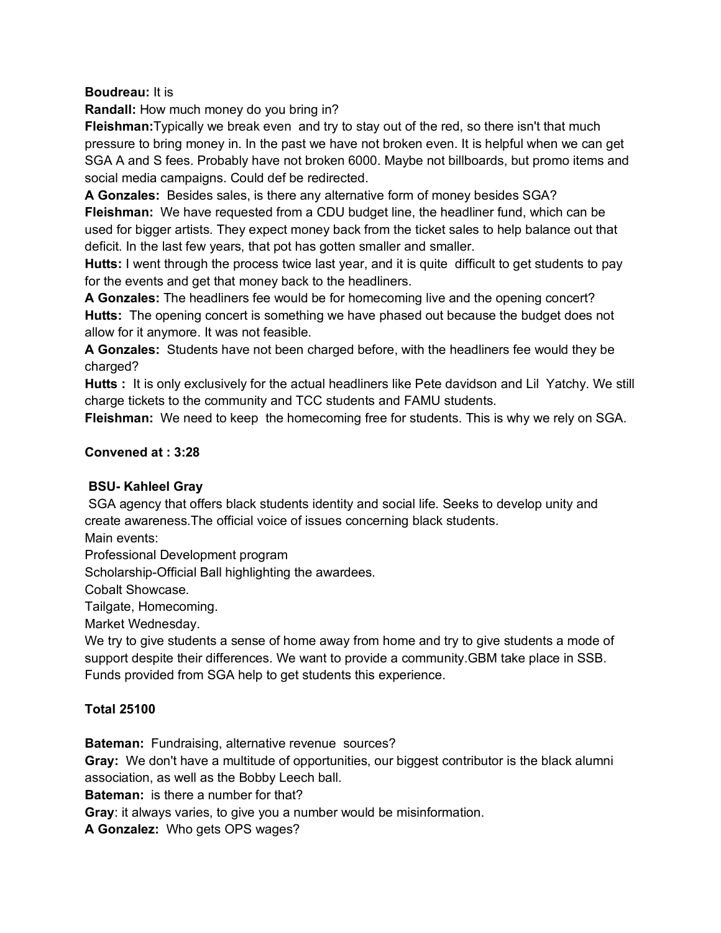**Boudreau:** It is

**Randall:** How much money do you bring in?

**Fleishman:**Typically we break even and try to stay out of the red, so there isn't that much pressure to bring money in. In the past we have not broken even. It is helpful when we can get SGA A and S fees. Probably have not broken 6000. Maybe not billboards, but promo items and social media campaigns. Could def be redirected.

**A Gonzales:** Besides sales, is there any alternative form of money besides SGA? **Fleishman:** We have requested from a CDU budget line, the headliner fund, which can be used for bigger artists. They expect money back from the ticket sales to help balance out that deficit. In the last few years, that pot has gotten smaller and smaller.

**Hutts:** I went through the process twice last year, and it is quite difficult to get students to pay for the events and get that money back to the headliners.

**A Gonzales:** The headliners fee would be for homecoming live and the opening concert? **Hutts:** The opening concert is something we have phased out because the budget does not allow for it anymore. It was not feasible.

**A Gonzales:** Students have not been charged before, with the headliners fee would they be charged?

**Hutts :** It is only exclusively for the actual headliners like Pete davidson and Lil Yatchy. We still charge tickets to the community and TCC students and FAMU students.

**Fleishman:** We need to keep the homecoming free for students. This is why we rely on SGA.

### **Convened at : 3:28**

### **BSU- Kahleel Gray**

SGA agency that offers black students identity and social life. Seeks to develop unity and create awareness.The official voice of issues concerning black students.

Main events:

Professional Development program

Scholarship-Official Ball highlighting the awardees.

Cobalt Showcase.

Tailgate, Homecoming.

Market Wednesday.

We try to give students a sense of home away from home and try to give students a mode of support despite their differences. We want to provide a community.GBM take place in SSB. Funds provided from SGA help to get students this experience.

### **Total 25100**

**Bateman:** Fundraising, alternative revenue sources?

**Gray:** We don't have a multitude of opportunities, our biggest contributor is the black alumni association, as well as the Bobby Leech ball.

**Bateman:** is there a number for that?

**Gray**: it always varies, to give you a number would be misinformation.

**A Gonzalez:** Who gets OPS wages?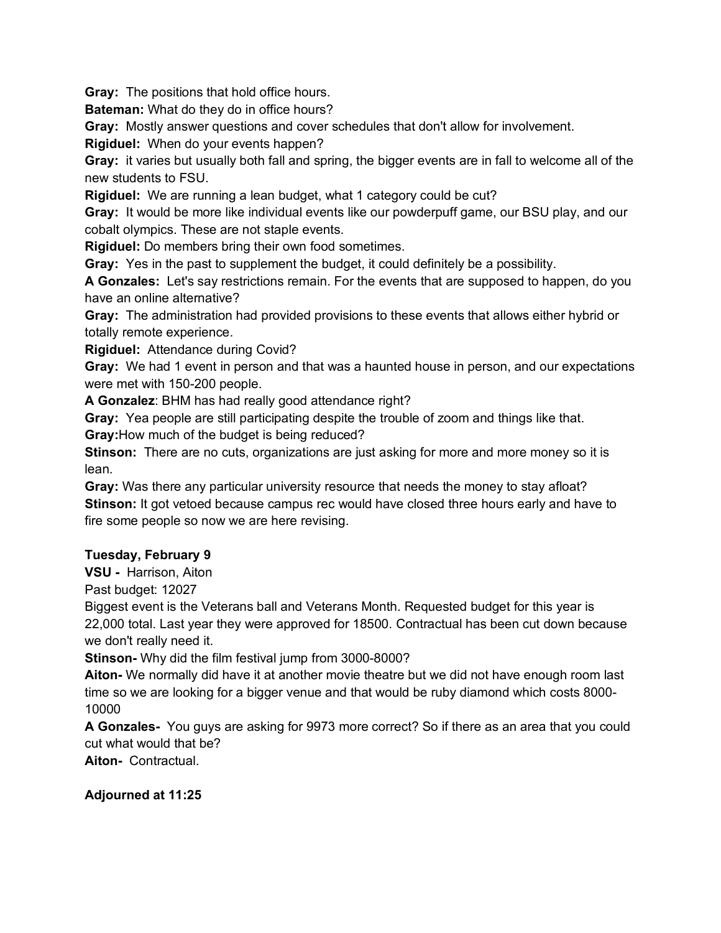**Gray:** The positions that hold office hours.

**Bateman:** What do they do in office hours?

**Gray:** Mostly answer questions and cover schedules that don't allow for involvement.

**Rigiduel:** When do your events happen?

**Gray:** it varies but usually both fall and spring, the bigger events are in fall to welcome all of the new students to FSU.

**Rigiduel:** We are running a lean budget, what 1 category could be cut?

**Gray:** It would be more like individual events like our powderpuff game, our BSU play, and our cobalt olympics. These are not staple events.

**Rigiduel:** Do members bring their own food sometimes.

**Gray:** Yes in the past to supplement the budget, it could definitely be a possibility.

**A Gonzales:** Let's say restrictions remain. For the events that are supposed to happen, do you have an online alternative?

**Gray:** The administration had provided provisions to these events that allows either hybrid or totally remote experience.

**Rigiduel:** Attendance during Covid?

**Gray:** We had 1 event in person and that was a haunted house in person, and our expectations were met with 150-200 people.

**A Gonzalez**: BHM has had really good attendance right?

**Gray:** Yea people are still participating despite the trouble of zoom and things like that.

**Gray:**How much of the budget is being reduced?

**Stinson:** There are no cuts, organizations are just asking for more and more money so it is lean.

**Gray:** Was there any particular university resource that needs the money to stay afloat? **Stinson:** It got vetoed because campus rec would have closed three hours early and have to fire some people so now we are here revising.

### **Tuesday, February 9**

**VSU -** Harrison, Aiton

Past budget: 12027

Biggest event is the Veterans ball and Veterans Month. Requested budget for this year is 22,000 total. Last year they were approved for 18500. Contractual has been cut down because we don't really need it.

**Stinson-** Why did the film festival jump from 3000-8000?

**Aiton-** We normally did have it at another movie theatre but we did not have enough room last time so we are looking for a bigger venue and that would be ruby diamond which costs 8000- 10000

**A Gonzales-** You guys are asking for 9973 more correct? So if there as an area that you could cut what would that be?

**Aiton-** Contractual.

**Adjourned at 11:25**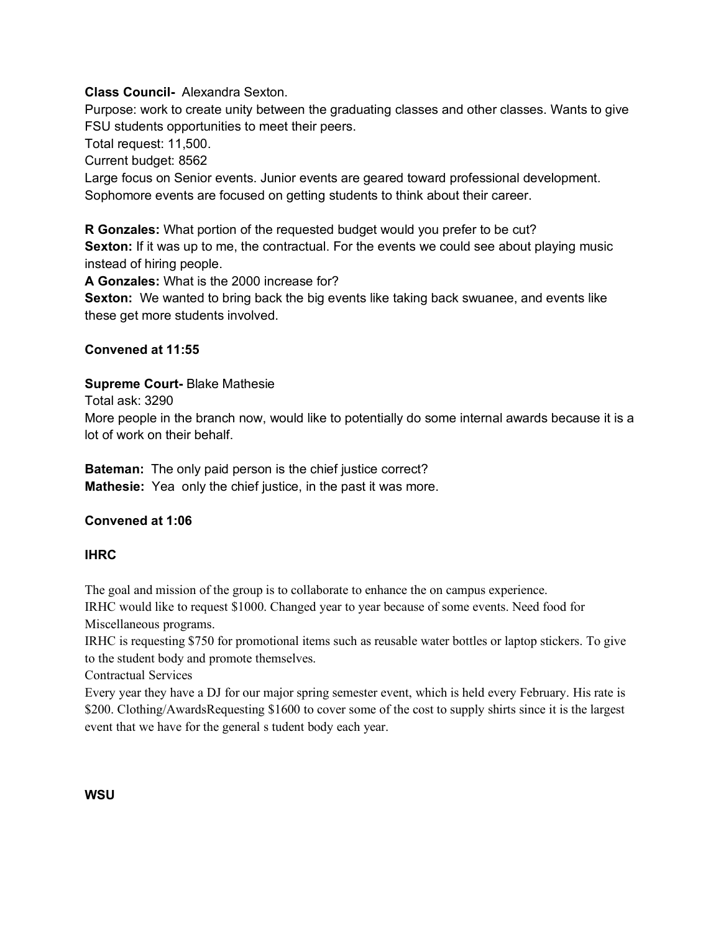## **Class Council-** Alexandra Sexton.

Purpose: work to create unity between the graduating classes and other classes. Wants to give FSU students opportunities to meet their peers.

Total request: 11,500.

Current budget: 8562

Large focus on Senior events. Junior events are geared toward professional development. Sophomore events are focused on getting students to think about their career.

**R Gonzales:** What portion of the requested budget would you prefer to be cut? **Sexton:** If it was up to me, the contractual. For the events we could see about playing music instead of hiring people.

**A Gonzales:** What is the 2000 increase for?

**Sexton:** We wanted to bring back the big events like taking back swuanee, and events like these get more students involved.

## **Convened at 11:55**

## **Supreme Court-** Blake Mathesie

Total ask: 3290

More people in the branch now, would like to potentially do some internal awards because it is a lot of work on their behalf.

**Bateman:** The only paid person is the chief justice correct? **Mathesie:** Yea only the chief justice, in the past it was more.

# **Convened at 1:06**

### **IHRC**

The goal and mission of the group is to collaborate to enhance the on campus experience.

IRHC would like to request \$1000. Changed year to year because of some events. Need food for Miscellaneous programs.

IRHC is requesting \$750 for promotional items such as reusable water bottles or laptop stickers. To give to the student body and promote themselves.

Contractual Services

Every year they have a DJ for our major spring semester event, which is held every February. His rate is \$200. Clothing/AwardsRequesting \$1600 to cover some of the cost to supply shirts since it is the largest event that we have for the general s tudent body each year.

### **WSU**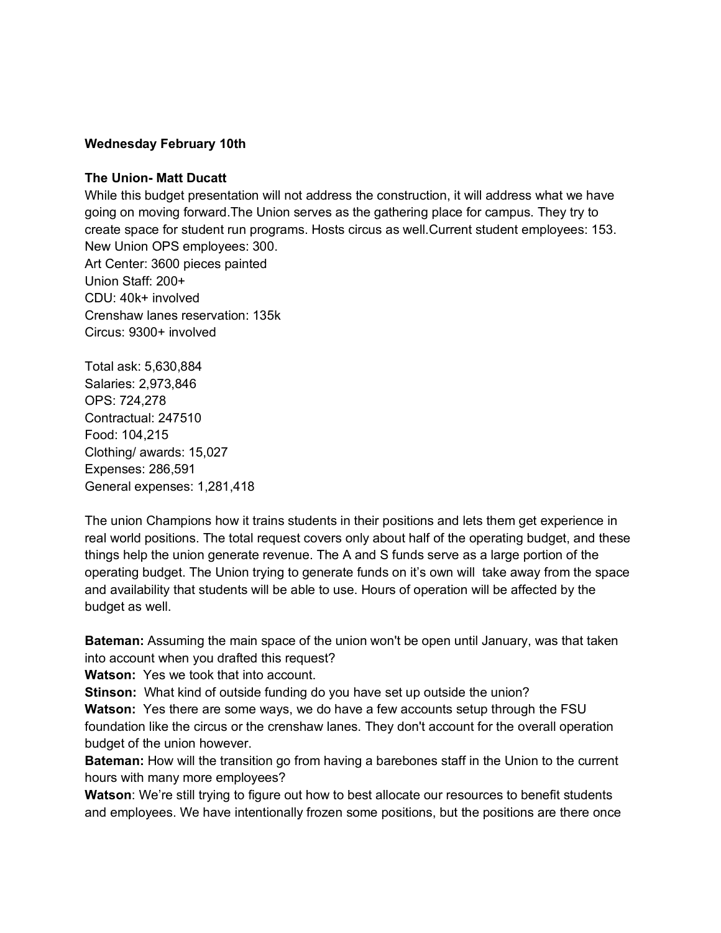#### **Wednesday February 10th**

#### **The Union- Matt Ducatt**

While this budget presentation will not address the construction, it will address what we have going on moving forward.The Union serves as the gathering place for campus. They try to create space for student run programs. Hosts circus as well.Current student employees: 153. New Union OPS employees: 300. Art Center: 3600 pieces painted Union Staff: 200+ CDU: 40k+ involved Crenshaw lanes reservation: 135k Circus: 9300+ involved

Total ask: 5,630,884 Salaries: 2,973,846 OPS: 724,278 Contractual: 247510 Food: 104,215 Clothing/ awards: 15,027 Expenses: 286,591 General expenses: 1,281,418

The union Champions how it trains students in their positions and lets them get experience in real world positions. The total request covers only about half of the operating budget, and these things help the union generate revenue. The A and S funds serve as a large portion of the operating budget. The Union trying to generate funds on it's own will take away from the space and availability that students will be able to use. Hours of operation will be affected by the budget as well.

**Bateman:** Assuming the main space of the union won't be open until January, was that taken into account when you drafted this request?

**Watson:** Yes we took that into account.

**Stinson:** What kind of outside funding do you have set up outside the union?

**Watson:** Yes there are some ways, we do have a few accounts setup through the FSU foundation like the circus or the crenshaw lanes. They don't account for the overall operation budget of the union however.

**Bateman:** How will the transition go from having a barebones staff in the Union to the current hours with many more employees?

**Watson**: We're still trying to figure out how to best allocate our resources to benefit students and employees. We have intentionally frozen some positions, but the positions are there once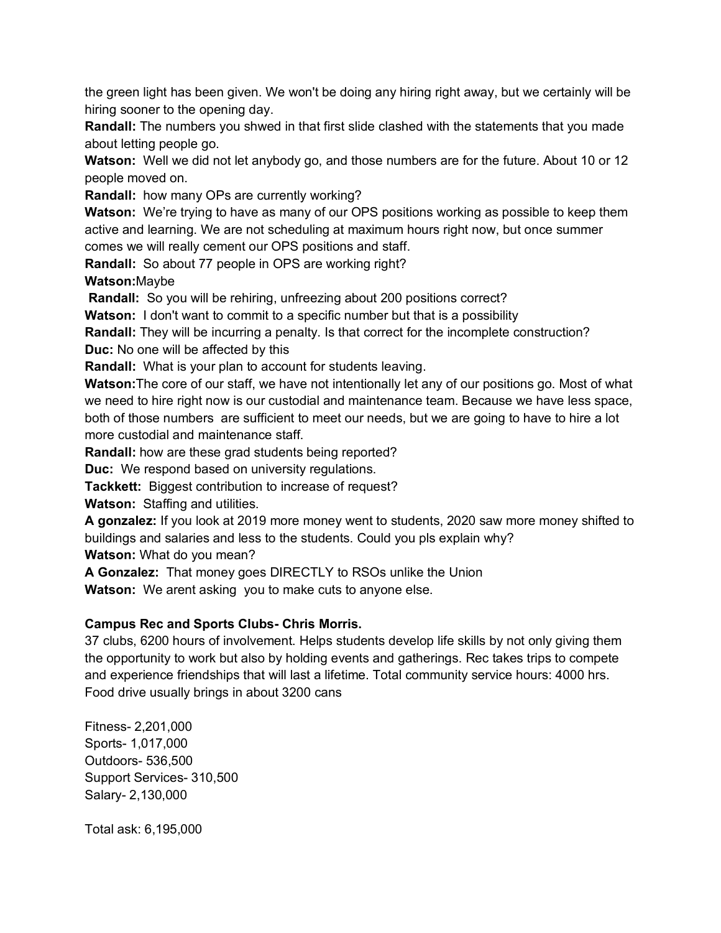the green light has been given. We won't be doing any hiring right away, but we certainly will be hiring sooner to the opening day.

**Randall:** The numbers you shwed in that first slide clashed with the statements that you made about letting people go.

**Watson:** Well we did not let anybody go, and those numbers are for the future. About 10 or 12 people moved on.

**Randall:** how many OPs are currently working?

**Watson:** We're trying to have as many of our OPS positions working as possible to keep them active and learning. We are not scheduling at maximum hours right now, but once summer comes we will really cement our OPS positions and staff.

**Randall:** So about 77 people in OPS are working right?

**Watson:**Maybe

**Randall:** So you will be rehiring, unfreezing about 200 positions correct?

**Watson:** I don't want to commit to a specific number but that is a possibility

**Randall:** They will be incurring a penalty. Is that correct for the incomplete construction? **Duc:** No one will be affected by this

**Randall:** What is your plan to account for students leaving.

**Watson:**The core of our staff, we have not intentionally let any of our positions go. Most of what we need to hire right now is our custodial and maintenance team. Because we have less space, both of those numbers are sufficient to meet our needs, but we are going to have to hire a lot more custodial and maintenance staff.

**Randall:** how are these grad students being reported?

**Duc:** We respond based on university regulations.

**Tackkett:** Biggest contribution to increase of request?

**Watson:** Staffing and utilities.

**A gonzalez:** If you look at 2019 more money went to students, 2020 saw more money shifted to buildings and salaries and less to the students. Could you pls explain why? **Watson:** What do you mean?

**A Gonzalez:** That money goes DIRECTLY to RSOs unlike the Union

**Watson:** We arent asking you to make cuts to anyone else.

### **Campus Rec and Sports Clubs- Chris Morris.**

37 clubs, 6200 hours of involvement. Helps students develop life skills by not only giving them the opportunity to work but also by holding events and gatherings. Rec takes trips to compete and experience friendships that will last a lifetime. Total community service hours: 4000 hrs. Food drive usually brings in about 3200 cans

Fitness- 2,201,000 Sports- 1,017,000 Outdoors- 536,500 Support Services- 310,500 Salary- 2,130,000

Total ask: 6,195,000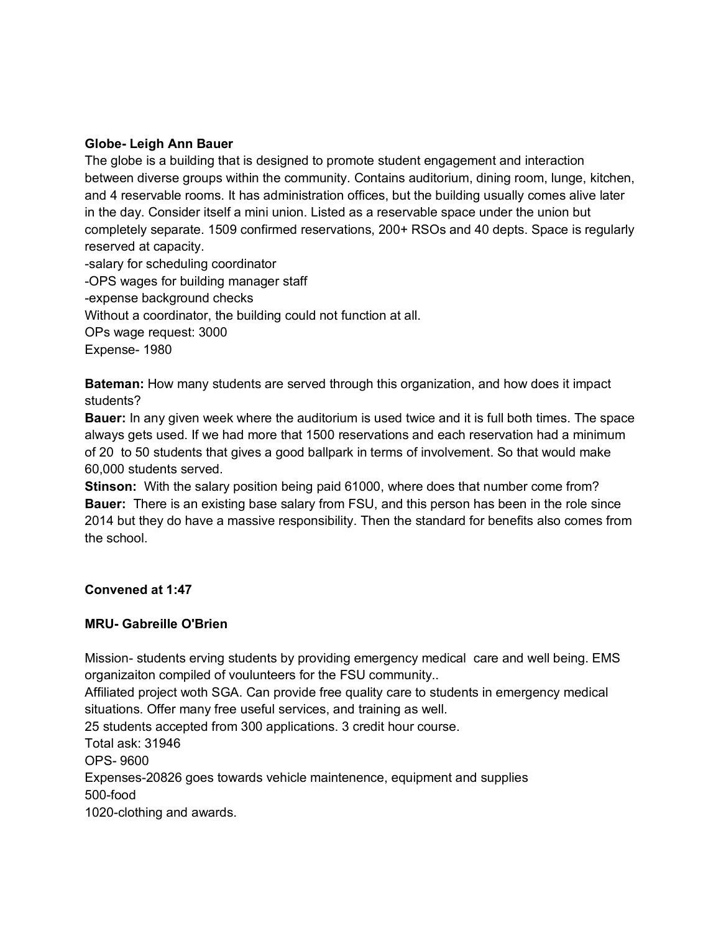#### **Globe- Leigh Ann Bauer**

The globe is a building that is designed to promote student engagement and interaction between diverse groups within the community. Contains auditorium, dining room, lunge, kitchen, and 4 reservable rooms. It has administration offices, but the building usually comes alive later in the day. Consider itself a mini union. Listed as a reservable space under the union but completely separate. 1509 confirmed reservations, 200+ RSOs and 40 depts. Space is regularly reserved at capacity.

-salary for scheduling coordinator -OPS wages for building manager staff -expense background checks Without a coordinator, the building could not function at all. OPs wage request: 3000 Expense- 1980

**Bateman:** How many students are served through this organization, and how does it impact students?

**Bauer:** In any given week where the auditorium is used twice and it is full both times. The space always gets used. If we had more that 1500 reservations and each reservation had a minimum of 20 to 50 students that gives a good ballpark in terms of involvement. So that would make 60,000 students served.

**Stinson:** With the salary position being paid 61000, where does that number come from? **Bauer:** There is an existing base salary from FSU, and this person has been in the role since 2014 but they do have a massive responsibility. Then the standard for benefits also comes from the school.

### **Convened at 1:47**

### **MRU- Gabreille O'Brien**

Mission- students erving students by providing emergency medical care and well being. EMS organizaiton compiled of voulunteers for the FSU community..

Affiliated project woth SGA. Can provide free quality care to students in emergency medical situations. Offer many free useful services, and training as well.

25 students accepted from 300 applications. 3 credit hour course.

Total ask: 31946

OPS- 9600

Expenses-20826 goes towards vehicle maintenence, equipment and supplies 500-food

1020-clothing and awards.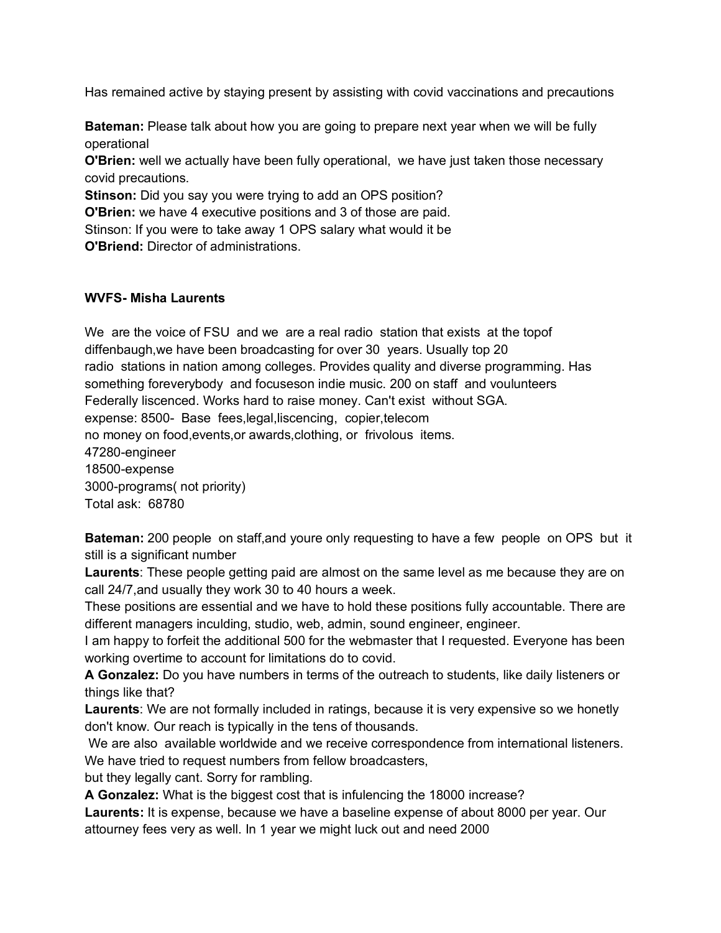Has remained active by staying present by assisting with covid vaccinations and precautions

**Bateman:** Please talk about how you are going to prepare next year when we will be fully operational

**O'Brien:** well we actually have been fully operational, we have just taken those necessary covid precautions.

**Stinson:** Did you say you were trying to add an OPS position?

**O'Brien:** we have 4 executive positions and 3 of those are paid.

Stinson: If you were to take away 1 OPS salary what would it be

**O'Briend:** Director of administrations.

#### **WVFS- Misha Laurents**

We are the voice of FSU and we are a real radio station that exists at the topof diffenbaugh,we have been broadcasting for over 30 years. Usually top 20 radio stations in nation among colleges. Provides quality and diverse programming. Has something foreverybody and focuseson indie music. 200 on staff and voulunteers Federally liscenced. Works hard to raise money. Can't exist without SGA. expense: 8500- Base fees,legal,liscencing, copier,telecom no money on food,events,or awards,clothing, or frivolous items. 47280-engineer 18500-expense 3000-programs( not priority) Total ask: 68780

**Bateman:** 200 people on staff,and youre only requesting to have a few people on OPS but it still is a significant number

**Laurents**: These people getting paid are almost on the same level as me because they are on call 24/7,and usually they work 30 to 40 hours a week.

These positions are essential and we have to hold these positions fully accountable. There are different managers inculding, studio, web, admin, sound engineer, engineer.

I am happy to forfeit the additional 500 for the webmaster that I requested. Everyone has been working overtime to account for limitations do to covid.

**A Gonzalez:** Do you have numbers in terms of the outreach to students, like daily listeners or things like that?

**Laurents**: We are not formally included in ratings, because it is very expensive so we honetly don't know. Our reach is typically in the tens of thousands.

We are also available worldwide and we receive correspondence from international listeners. We have tried to request numbers from fellow broadcasters,

but they legally cant. Sorry for rambling.

**A Gonzalez:** What is the biggest cost that is infulencing the 18000 increase?

**Laurents:** It is expense, because we have a baseline expense of about 8000 per year. Our attourney fees very as well. In 1 year we might luck out and need 2000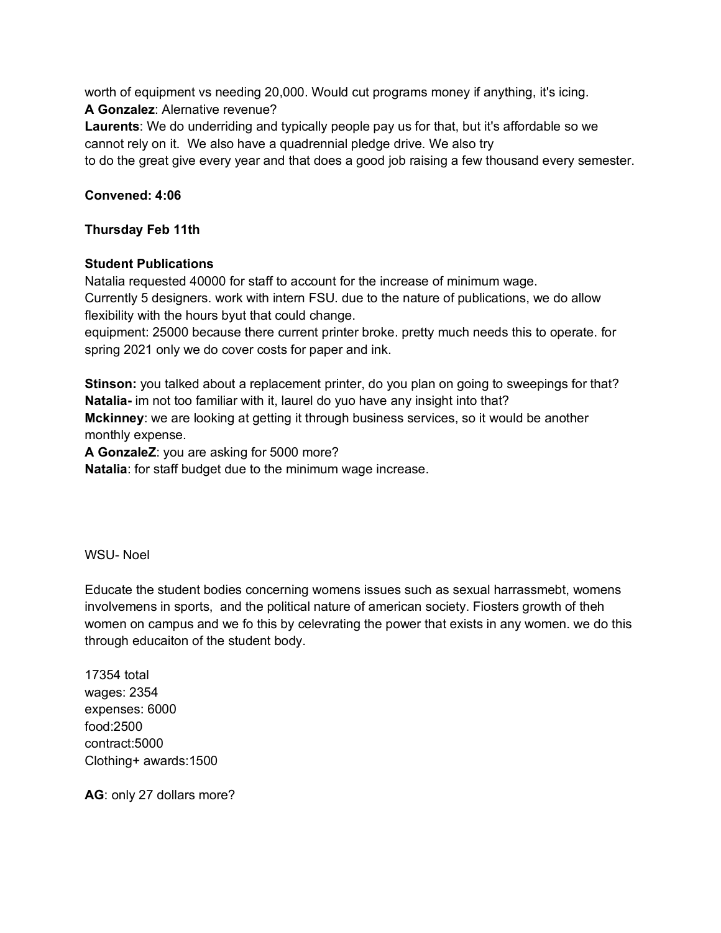worth of equipment vs needing 20,000. Would cut programs money if anything, it's icing. **A Gonzalez**: Alernative revenue?

**Laurents**: We do underriding and typically people pay us for that, but it's affordable so we cannot rely on it. We also have a quadrennial pledge drive. We also try

to do the great give every year and that does a good job raising a few thousand every semester.

## **Convened: 4:06**

### **Thursday Feb 11th**

## **Student Publications**

Natalia requested 40000 for staff to account for the increase of minimum wage. Currently 5 designers. work with intern FSU. due to the nature of publications, we do allow flexibility with the hours byut that could change.

equipment: 25000 because there current printer broke. pretty much needs this to operate. for spring 2021 only we do cover costs for paper and ink.

**Stinson:** you talked about a replacement printer, do you plan on going to sweepings for that? **Natalia-** im not too familiar with it, laurel do yuo have any insight into that? **Mckinney**: we are looking at getting it through business services, so it would be another monthly expense.

**A GonzaleZ**: you are asking for 5000 more?

**Natalia**: for staff budget due to the minimum wage increase.

WSU- Noel

Educate the student bodies concerning womens issues such as sexual harrassmebt, womens involvemens in sports, and the political nature of american society. Fiosters growth of theh women on campus and we fo this by celevrating the power that exists in any women. we do this through educaiton of the student body.

17354 total wages: 2354 expenses: 6000 food:2500 contract:5000 Clothing+ awards:1500

**AG**: only 27 dollars more?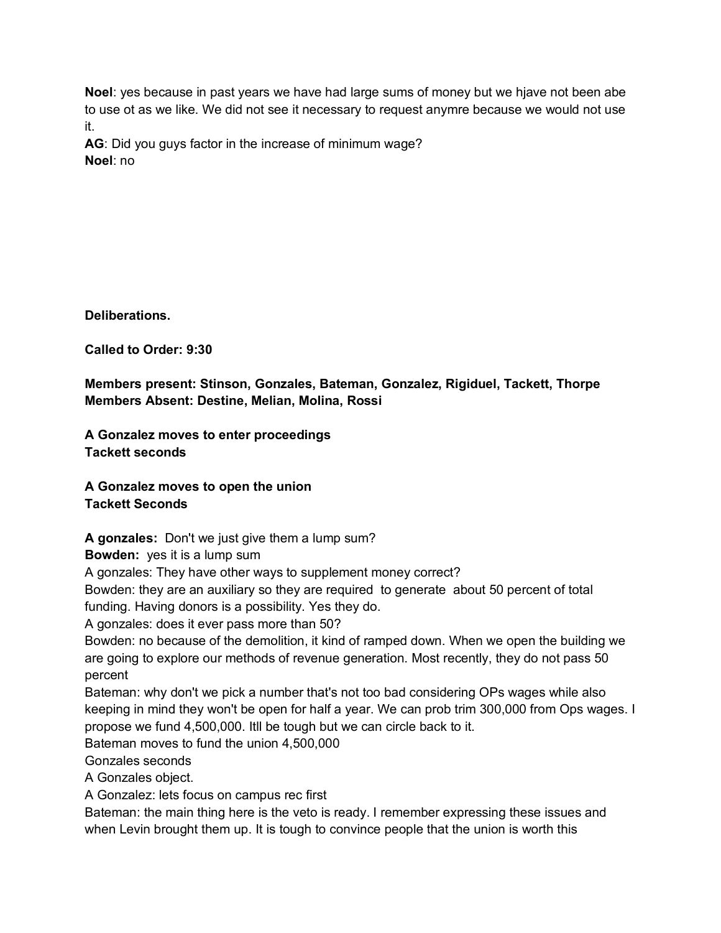**Noel**: yes because in past years we have had large sums of money but we hjave not been abe to use ot as we like. We did not see it necessary to request anymre because we would not use it.

**AG**: Did you guys factor in the increase of minimum wage? **Noel**: no

**Deliberations.**

**Called to Order: 9:30**

**Members present: Stinson, Gonzales, Bateman, Gonzalez, Rigiduel, Tackett, Thorpe Members Absent: Destine, Melian, Molina, Rossi**

**A Gonzalez moves to enter proceedings Tackett seconds**

**A Gonzalez moves to open the union Tackett Seconds**

**A gonzales:** Don't we just give them a lump sum?

**Bowden:** yes it is a lump sum

A gonzales: They have other ways to supplement money correct?

Bowden: they are an auxiliary so they are required to generate about 50 percent of total funding. Having donors is a possibility. Yes they do.

A gonzales: does it ever pass more than 50?

Bowden: no because of the demolition, it kind of ramped down. When we open the building we are going to explore our methods of revenue generation. Most recently, they do not pass 50 percent

Bateman: why don't we pick a number that's not too bad considering OPs wages while also keeping in mind they won't be open for half a year. We can prob trim 300,000 from Ops wages. I propose we fund 4,500,000. Itll be tough but we can circle back to it.

Bateman moves to fund the union 4,500,000

Gonzales seconds

A Gonzales object.

A Gonzalez: lets focus on campus rec first

Bateman: the main thing here is the veto is ready. I remember expressing these issues and when Levin brought them up. It is tough to convince people that the union is worth this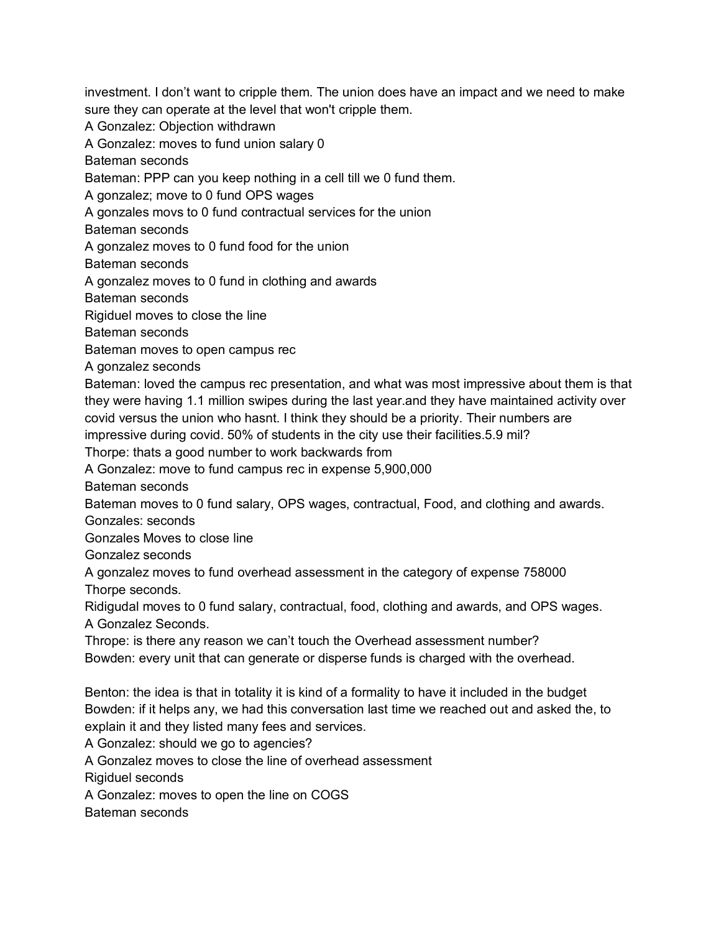investment. I don't want to cripple them. The union does have an impact and we need to make sure they can operate at the level that won't cripple them.

A Gonzalez: Objection withdrawn

A Gonzalez: moves to fund union salary 0

Bateman seconds

Bateman: PPP can you keep nothing in a cell till we 0 fund them.

A gonzalez; move to 0 fund OPS wages

A gonzales movs to 0 fund contractual services for the union

Bateman seconds

A gonzalez moves to 0 fund food for the union

Bateman seconds

A gonzalez moves to 0 fund in clothing and awards

Bateman seconds

Rigiduel moves to close the line

Bateman seconds

Bateman moves to open campus rec

A gonzalez seconds

Bateman: loved the campus rec presentation, and what was most impressive about them is that they were having 1.1 million swipes during the last year.and they have maintained activity over covid versus the union who hasnt. I think they should be a priority. Their numbers are impressive during covid. 50% of students in the city use their facilities.5.9 mil?

Thorpe: thats a good number to work backwards from

A Gonzalez: move to fund campus rec in expense 5,900,000

Bateman seconds

Bateman moves to 0 fund salary, OPS wages, contractual, Food, and clothing and awards.

Gonzales: seconds

Gonzales Moves to close line

Gonzalez seconds

A gonzalez moves to fund overhead assessment in the category of expense 758000 Thorpe seconds.

Ridigudal moves to 0 fund salary, contractual, food, clothing and awards, and OPS wages. A Gonzalez Seconds.

Thrope: is there any reason we can't touch the Overhead assessment number? Bowden: every unit that can generate or disperse funds is charged with the overhead.

Benton: the idea is that in totality it is kind of a formality to have it included in the budget Bowden: if it helps any, we had this conversation last time we reached out and asked the, to explain it and they listed many fees and services.

A Gonzalez: should we go to agencies?

A Gonzalez moves to close the line of overhead assessment

Rigiduel seconds

A Gonzalez: moves to open the line on COGS

Bateman seconds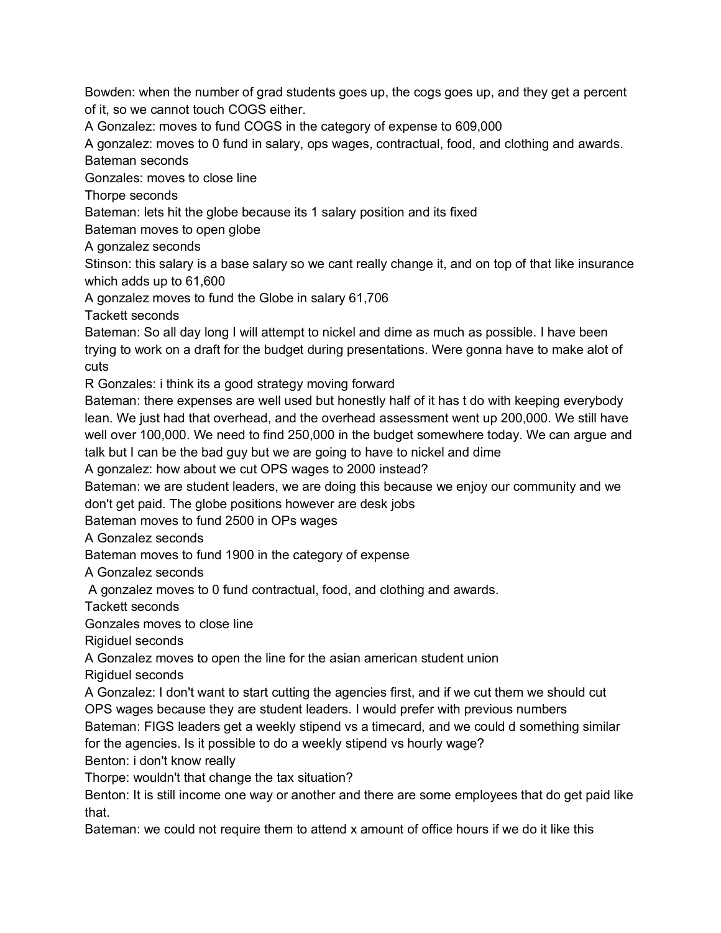Bowden: when the number of grad students goes up, the cogs goes up, and they get a percent of it, so we cannot touch COGS either.

A Gonzalez: moves to fund COGS in the category of expense to 609,000

A gonzalez: moves to 0 fund in salary, ops wages, contractual, food, and clothing and awards. Bateman seconds

Gonzales: moves to close line

Thorpe seconds

Bateman: lets hit the globe because its 1 salary position and its fixed

Bateman moves to open globe

A gonzalez seconds

Stinson: this salary is a base salary so we cant really change it, and on top of that like insurance which adds up to 61,600

A gonzalez moves to fund the Globe in salary 61,706

Tackett seconds

Bateman: So all day long I will attempt to nickel and dime as much as possible. I have been trying to work on a draft for the budget during presentations. Were gonna have to make alot of cuts

R Gonzales: i think its a good strategy moving forward

Bateman: there expenses are well used but honestly half of it has t do with keeping everybody lean. We just had that overhead, and the overhead assessment went up 200,000. We still have well over 100,000. We need to find 250,000 in the budget somewhere today. We can argue and talk but I can be the bad guy but we are going to have to nickel and dime

A gonzalez: how about we cut OPS wages to 2000 instead?

Bateman: we are student leaders, we are doing this because we enjoy our community and we don't get paid. The globe positions however are desk jobs

Bateman moves to fund 2500 in OPs wages

A Gonzalez seconds

Bateman moves to fund 1900 in the category of expense

A Gonzalez seconds

A gonzalez moves to 0 fund contractual, food, and clothing and awards.

Tackett seconds

Gonzales moves to close line

Rigiduel seconds

A Gonzalez moves to open the line for the asian american student union

Rigiduel seconds

A Gonzalez: I don't want to start cutting the agencies first, and if we cut them we should cut OPS wages because they are student leaders. I would prefer with previous numbers

Bateman: FIGS leaders get a weekly stipend vs a timecard, and we could d something similar for the agencies. Is it possible to do a weekly stipend vs hourly wage?

Benton: i don't know really

Thorpe: wouldn't that change the tax situation?

Benton: It is still income one way or another and there are some employees that do get paid like that.

Bateman: we could not require them to attend x amount of office hours if we do it like this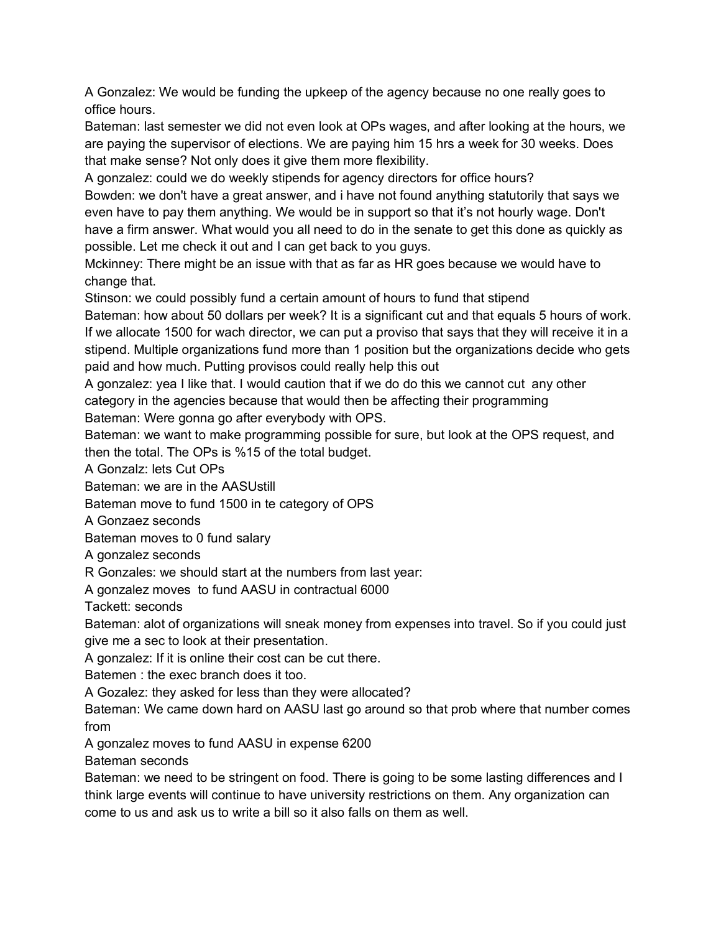A Gonzalez: We would be funding the upkeep of the agency because no one really goes to office hours.

Bateman: last semester we did not even look at OPs wages, and after looking at the hours, we are paying the supervisor of elections. We are paying him 15 hrs a week for 30 weeks. Does that make sense? Not only does it give them more flexibility.

A gonzalez: could we do weekly stipends for agency directors for office hours?

Bowden: we don't have a great answer, and i have not found anything statutorily that says we even have to pay them anything. We would be in support so that it's not hourly wage. Don't have a firm answer. What would you all need to do in the senate to get this done as quickly as possible. Let me check it out and I can get back to you guys.

Mckinney: There might be an issue with that as far as HR goes because we would have to change that.

Stinson: we could possibly fund a certain amount of hours to fund that stipend

Bateman: how about 50 dollars per week? It is a significant cut and that equals 5 hours of work. If we allocate 1500 for wach director, we can put a proviso that says that they will receive it in a stipend. Multiple organizations fund more than 1 position but the organizations decide who gets paid and how much. Putting provisos could really help this out

A gonzalez: yea I like that. I would caution that if we do do this we cannot cut any other category in the agencies because that would then be affecting their programming Bateman: Were gonna go after everybody with OPS.

Bateman: we want to make programming possible for sure, but look at the OPS request, and then the total. The OPs is %15 of the total budget.

A Gonzalz: lets Cut OPs

Bateman: we are in the AASUstill

Bateman move to fund 1500 in te category of OPS

A Gonzaez seconds

Bateman moves to 0 fund salary

A gonzalez seconds

R Gonzales: we should start at the numbers from last year:

A gonzalez moves to fund AASU in contractual 6000

Tackett: seconds

Bateman: alot of organizations will sneak money from expenses into travel. So if you could just give me a sec to look at their presentation.

A gonzalez: If it is online their cost can be cut there.

Batemen : the exec branch does it too.

A Gozalez: they asked for less than they were allocated?

Bateman: We came down hard on AASU last go around so that prob where that number comes from

A gonzalez moves to fund AASU in expense 6200

Bateman seconds

Bateman: we need to be stringent on food. There is going to be some lasting differences and I think large events will continue to have university restrictions on them. Any organization can come to us and ask us to write a bill so it also falls on them as well.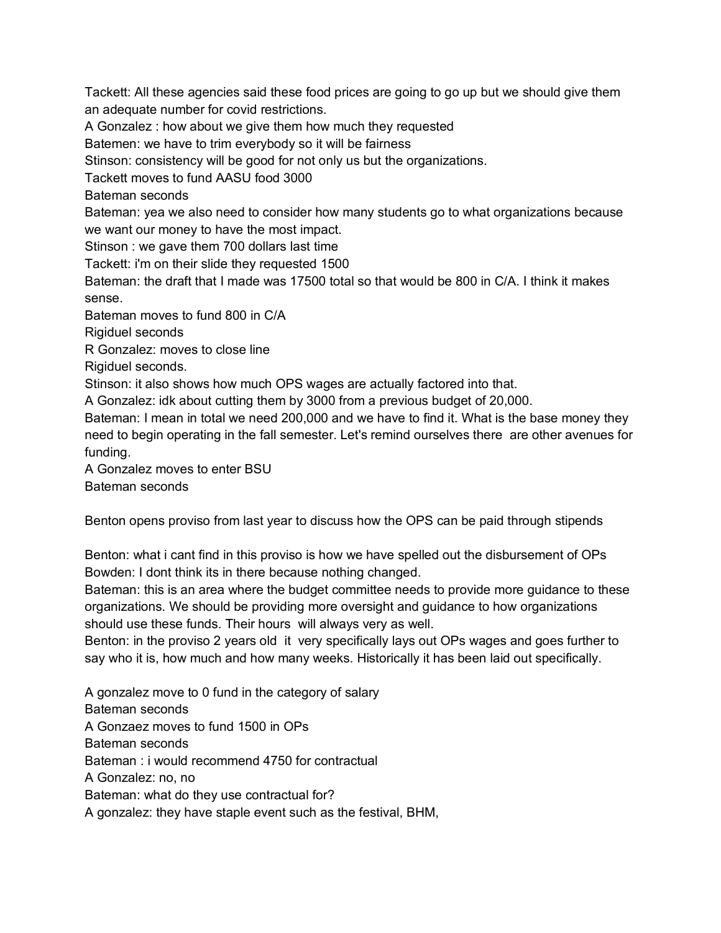Tackett: All these agencies said these food prices are going to go up but we should give them an adequate number for covid restrictions.

A Gonzalez : how about we give them how much they requested

Batemen: we have to trim everybody so it will be fairness

Stinson: consistency will be good for not only us but the organizations.

Tackett moves to fund AASU food 3000

Bateman seconds

Bateman: yea we also need to consider how many students go to what organizations because we want our money to have the most impact.

Stinson : we gave them 700 dollars last time

Tackett: i'm on their slide they requested 1500

Bateman: the draft that I made was 17500 total so that would be 800 in C/A. I think it makes sense.

Bateman moves to fund 800 in C/A

Rigiduel seconds

R Gonzalez: moves to close line

Rigiduel seconds.

Stinson: it also shows how much OPS wages are actually factored into that.

A Gonzalez: idk about cutting them by 3000 from a previous budget of 20,000.

Bateman: I mean in total we need 200,000 and we have to find it. What is the base money they need to begin operating in the fall semester. Let's remind ourselves there are other avenues for funding.

A Gonzalez moves to enter BSU Bateman seconds

Benton opens proviso from last year to discuss how the OPS can be paid through stipends

Benton: what i cant find in this proviso is how we have spelled out the disbursement of OPs Bowden: I dont think its in there because nothing changed.

Bateman: this is an area where the budget committee needs to provide more guidance to these organizations. We should be providing more oversight and guidance to how organizations should use these funds. Their hours will always very as well.

Benton: in the proviso 2 years old it very specifically lays out OPs wages and goes further to say who it is, how much and how many weeks. Historically it has been laid out specifically.

A gonzalez move to 0 fund in the category of salary Bateman seconds A Gonzaez moves to fund 1500 in OPs Bateman seconds Bateman : i would recommend 4750 for contractual A Gonzalez: no, no Bateman: what do they use contractual for? A gonzalez: they have staple event such as the festival, BHM,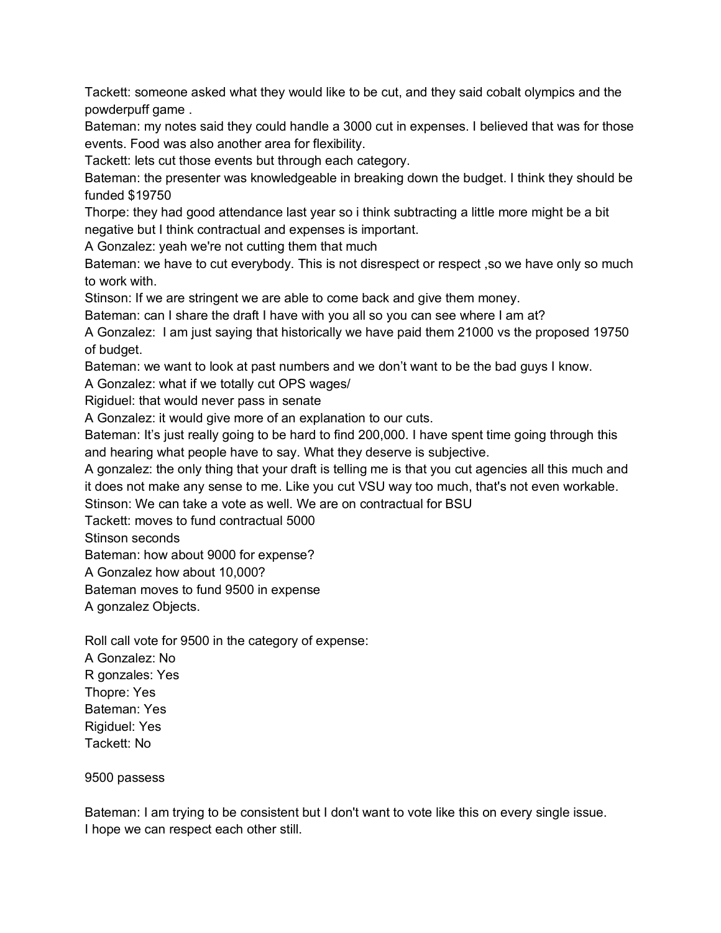Tackett: someone asked what they would like to be cut, and they said cobalt olympics and the powderpuff game .

Bateman: my notes said they could handle a 3000 cut in expenses. I believed that was for those events. Food was also another area for flexibility.

Tackett: lets cut those events but through each category.

Bateman: the presenter was knowledgeable in breaking down the budget. I think they should be funded \$19750

Thorpe: they had good attendance last year so i think subtracting a little more might be a bit negative but I think contractual and expenses is important.

A Gonzalez: yeah we're not cutting them that much

Bateman: we have to cut everybody. This is not disrespect or respect ,so we have only so much to work with.

Stinson: If we are stringent we are able to come back and give them money.

Bateman: can I share the draft I have with you all so you can see where I am at?

A Gonzalez: I am just saying that historically we have paid them 21000 vs the proposed 19750 of budget.

Bateman: we want to look at past numbers and we don't want to be the bad guys I know.

A Gonzalez: what if we totally cut OPS wages/

Rigiduel: that would never pass in senate

A Gonzalez: it would give more of an explanation to our cuts.

Bateman: It's just really going to be hard to find 200,000. I have spent time going through this and hearing what people have to say. What they deserve is subjective.

A gonzalez: the only thing that your draft is telling me is that you cut agencies all this much and it does not make any sense to me. Like you cut VSU way too much, that's not even workable. Stinson: We can take a vote as well. We are on contractual for BSU

Tackett: moves to fund contractual 5000

Stinson seconds

Bateman: how about 9000 for expense?

A Gonzalez how about 10,000?

Bateman moves to fund 9500 in expense

A gonzalez Objects.

Roll call vote for 9500 in the category of expense:

A Gonzalez: No R gonzales: Yes Thopre: Yes Bateman: Yes Rigiduel: Yes Tackett: No

9500 passess

Bateman: I am trying to be consistent but I don't want to vote like this on every single issue. I hope we can respect each other still.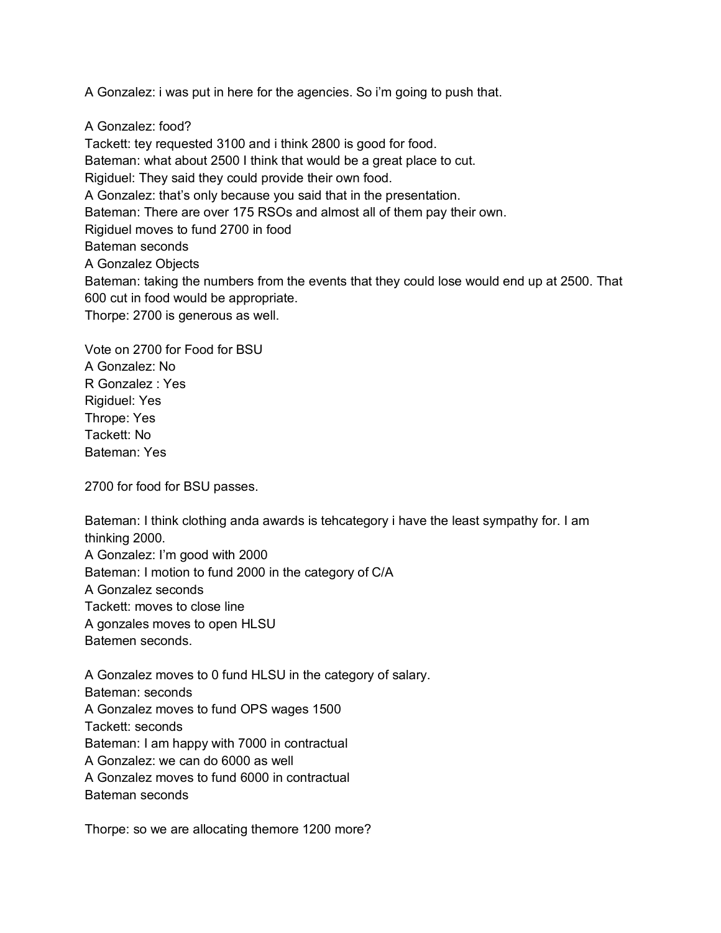A Gonzalez: i was put in here for the agencies. So i'm going to push that.

A Gonzalez: food?

Tackett: tey requested 3100 and i think 2800 is good for food. Bateman: what about 2500 I think that would be a great place to cut. Rigiduel: They said they could provide their own food. A Gonzalez: that's only because you said that in the presentation. Bateman: There are over 175 RSOs and almost all of them pay their own. Rigiduel moves to fund 2700 in food Bateman seconds A Gonzalez Objects Bateman: taking the numbers from the events that they could lose would end up at 2500. That 600 cut in food would be appropriate. Thorpe: 2700 is generous as well.

Vote on 2700 for Food for BSU A Gonzalez: No R Gonzalez : Yes Rigiduel: Yes Thrope: Yes Tackett: No Bateman: Yes

2700 for food for BSU passes.

Bateman: I think clothing anda awards is tehcategory i have the least sympathy for. I am thinking 2000. A Gonzalez: I'm good with 2000 Bateman: I motion to fund 2000 in the category of C/A A Gonzalez seconds Tackett: moves to close line A gonzales moves to open HLSU Batemen seconds.

A Gonzalez moves to 0 fund HLSU in the category of salary. Bateman: seconds A Gonzalez moves to fund OPS wages 1500 Tackett: seconds Bateman: I am happy with 7000 in contractual A Gonzalez: we can do 6000 as well A Gonzalez moves to fund 6000 in contractual Bateman seconds

Thorpe: so we are allocating themore 1200 more?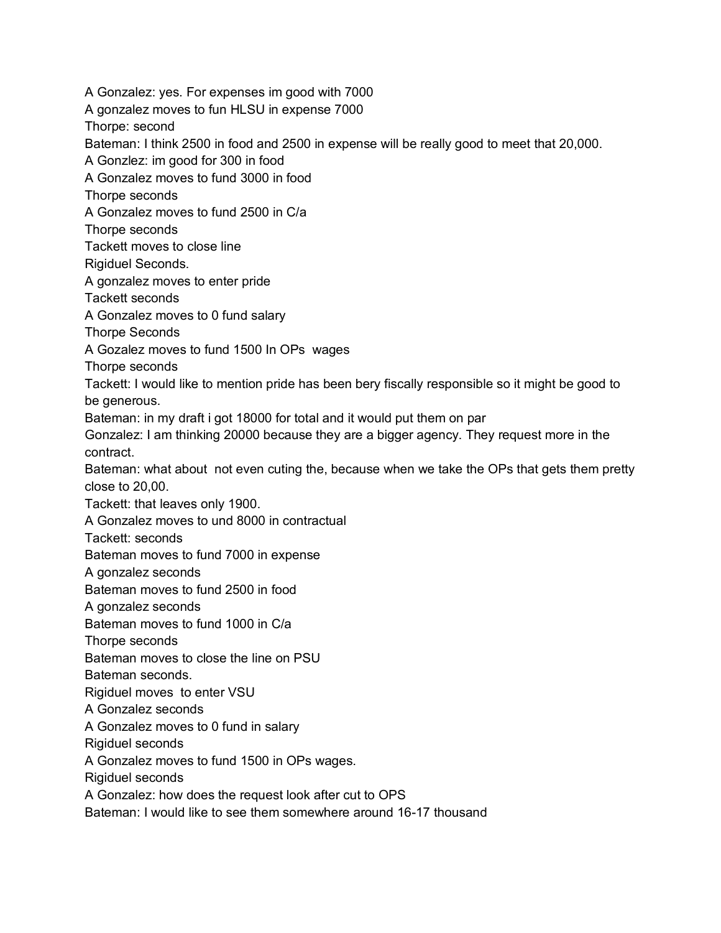A Gonzalez: yes. For expenses im good with 7000 A gonzalez moves to fun HLSU in expense 7000 Thorpe: second Bateman: I think 2500 in food and 2500 in expense will be really good to meet that 20,000. A Gonzlez: im good for 300 in food A Gonzalez moves to fund 3000 in food Thorpe seconds A Gonzalez moves to fund 2500 in C/a Thorpe seconds Tackett moves to close line Rigiduel Seconds. A gonzalez moves to enter pride Tackett seconds A Gonzalez moves to 0 fund salary Thorpe Seconds A Gozalez moves to fund 1500 In OPs wages Thorpe seconds Tackett: I would like to mention pride has been bery fiscally responsible so it might be good to be generous. Bateman: in my draft i got 18000 for total and it would put them on par Gonzalez: I am thinking 20000 because they are a bigger agency. They request more in the contract. Bateman: what about not even cuting the, because when we take the OPs that gets them pretty close to 20,00. Tackett: that leaves only 1900. A Gonzalez moves to und 8000 in contractual Tackett: seconds Bateman moves to fund 7000 in expense A gonzalez seconds Bateman moves to fund 2500 in food A gonzalez seconds Bateman moves to fund 1000 in C/a Thorpe seconds Bateman moves to close the line on PSU Bateman seconds. Rigiduel moves to enter VSU A Gonzalez seconds A Gonzalez moves to 0 fund in salary Rigiduel seconds A Gonzalez moves to fund 1500 in OPs wages. Rigiduel seconds A Gonzalez: how does the request look after cut to OPS Bateman: I would like to see them somewhere around 16-17 thousand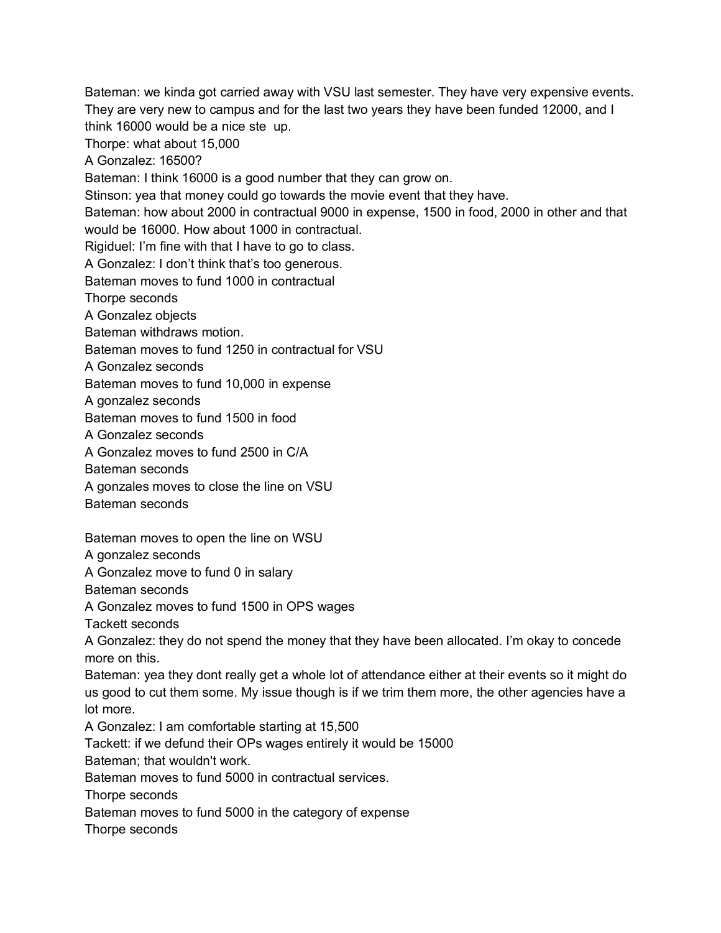Bateman: we kinda got carried away with VSU last semester. They have very expensive events. They are very new to campus and for the last two years they have been funded 12000, and I think 16000 would be a nice ste up. Thorpe: what about 15,000

A Gonzalez: 16500?

Bateman: I think 16000 is a good number that they can grow on.

Stinson: yea that money could go towards the movie event that they have.

Bateman: how about 2000 in contractual 9000 in expense, 1500 in food, 2000 in other and that would be 16000. How about 1000 in contractual.

Rigiduel: I'm fine with that I have to go to class.

A Gonzalez: I don't think that's too generous.

Bateman moves to fund 1000 in contractual

Thorpe seconds

A Gonzalez objects

Bateman withdraws motion.

Bateman moves to fund 1250 in contractual for VSU

A Gonzalez seconds

Bateman moves to fund 10,000 in expense

A gonzalez seconds

Bateman moves to fund 1500 in food

A Gonzalez seconds

A Gonzalez moves to fund 2500 in C/A

Bateman seconds

A gonzales moves to close the line on VSU

Bateman seconds

Bateman moves to open the line on WSU

A gonzalez seconds

A Gonzalez move to fund 0 in salary

Bateman seconds

A Gonzalez moves to fund 1500 in OPS wages

Tackett seconds

A Gonzalez: they do not spend the money that they have been allocated. I'm okay to concede more on this.

Bateman: yea they dont really get a whole lot of attendance either at their events so it might do us good to cut them some. My issue though is if we trim them more, the other agencies have a lot more.

A Gonzalez: I am comfortable starting at 15,500

Tackett: if we defund their OPs wages entirely it would be 15000

Bateman; that wouldn't work.

Bateman moves to fund 5000 in contractual services.

Thorpe seconds

Bateman moves to fund 5000 in the category of expense

Thorpe seconds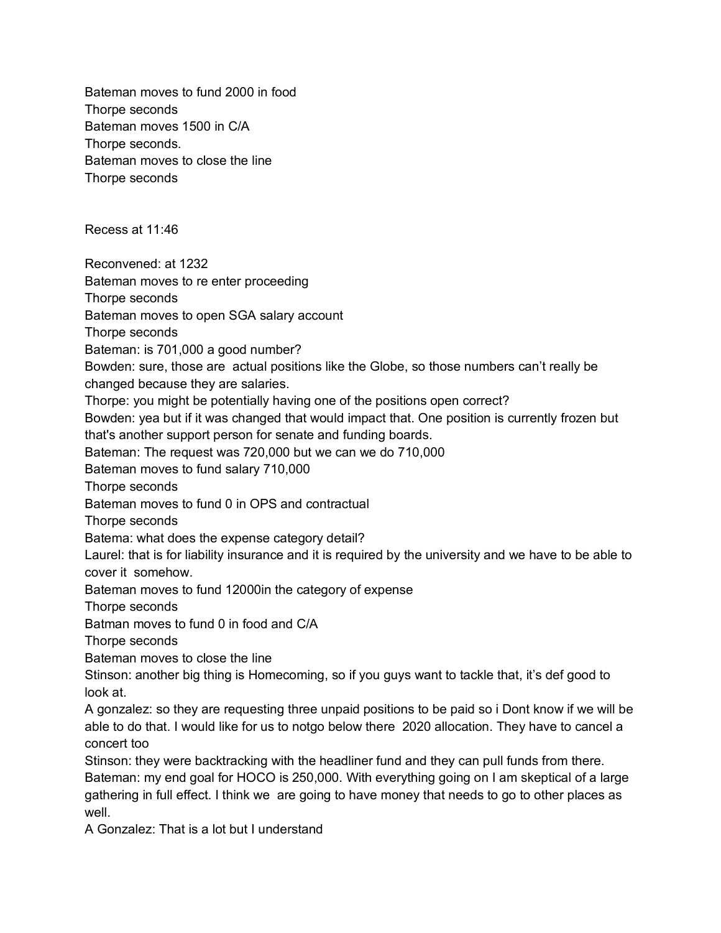Bateman moves to fund 2000 in food Thorpe seconds Bateman moves 1500 in C/A Thorpe seconds. Bateman moves to close the line Thorpe seconds Recess at 11:46 Reconvened: at 1232 Bateman moves to re enter proceeding Thorpe seconds Bateman moves to open SGA salary account Thorpe seconds Bateman: is 701,000 a good number? Bowden: sure, those are actual positions like the Globe, so those numbers can't really be changed because they are salaries. Thorpe: you might be potentially having one of the positions open correct? Bowden: yea but if it was changed that would impact that. One position is currently frozen but that's another support person for senate and funding boards. Bateman: The request was 720,000 but we can we do 710,000 Bateman moves to fund salary 710,000 Thorpe seconds Bateman moves to fund 0 in OPS and contractual Thorpe seconds Batema: what does the expense category detail? Laurel: that is for liability insurance and it is required by the university and we have to be able to cover it somehow. Bateman moves to fund 12000in the category of expense Thorpe seconds Batman moves to fund 0 in food and C/A Thorpe seconds Bateman moves to close the line Stinson: another big thing is Homecoming, so if you guys want to tackle that, it's def good to look at. A gonzalez: so they are requesting three unpaid positions to be paid so i Dont know if we will be able to do that. I would like for us to notgo below there 2020 allocation. They have to cancel a concert too Stinson: they were backtracking with the headliner fund and they can pull funds from there. Bateman: my end goal for HOCO is 250,000. With everything going on I am skeptical of a large gathering in full effect. I think we are going to have money that needs to go to other places as well A Gonzalez: That is a lot but I understand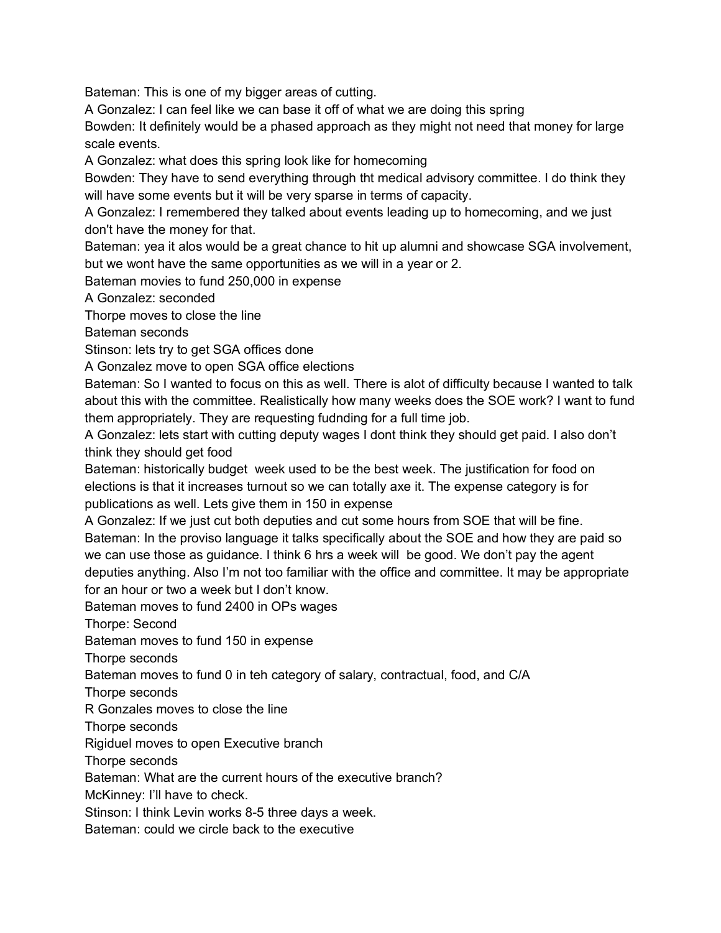Bateman: This is one of my bigger areas of cutting.

A Gonzalez: I can feel like we can base it off of what we are doing this spring

Bowden: It definitely would be a phased approach as they might not need that money for large scale events.

A Gonzalez: what does this spring look like for homecoming

Bowden: They have to send everything through tht medical advisory committee. I do think they will have some events but it will be very sparse in terms of capacity.

A Gonzalez: I remembered they talked about events leading up to homecoming, and we just don't have the money for that.

Bateman: yea it alos would be a great chance to hit up alumni and showcase SGA involvement, but we wont have the same opportunities as we will in a year or 2.

Bateman movies to fund 250,000 in expense

A Gonzalez: seconded

Thorpe moves to close the line

Bateman seconds

Stinson: lets try to get SGA offices done

A Gonzalez move to open SGA office elections

Bateman: So I wanted to focus on this as well. There is alot of difficulty because I wanted to talk about this with the committee. Realistically how many weeks does the SOE work? I want to fund them appropriately. They are requesting fudnding for a full time job.

A Gonzalez: lets start with cutting deputy wages I dont think they should get paid. I also don't think they should get food

Bateman: historically budget week used to be the best week. The justification for food on elections is that it increases turnout so we can totally axe it. The expense category is for publications as well. Lets give them in 150 in expense

A Gonzalez: If we just cut both deputies and cut some hours from SOE that will be fine. Bateman: In the proviso language it talks specifically about the SOE and how they are paid so we can use those as guidance. I think 6 hrs a week will be good. We don't pay the agent deputies anything. Also I'm not too familiar with the office and committee. It may be appropriate for an hour or two a week but I don't know.

Bateman moves to fund 2400 in OPs wages

Thorpe: Second

Bateman moves to fund 150 in expense

Thorpe seconds

Bateman moves to fund 0 in teh category of salary, contractual, food, and C/A

Thorpe seconds

R Gonzales moves to close the line

Thorpe seconds

Rigiduel moves to open Executive branch

Thorpe seconds

Bateman: What are the current hours of the executive branch?

McKinney: I'll have to check.

Stinson: I think Levin works 8-5 three days a week.

Bateman: could we circle back to the executive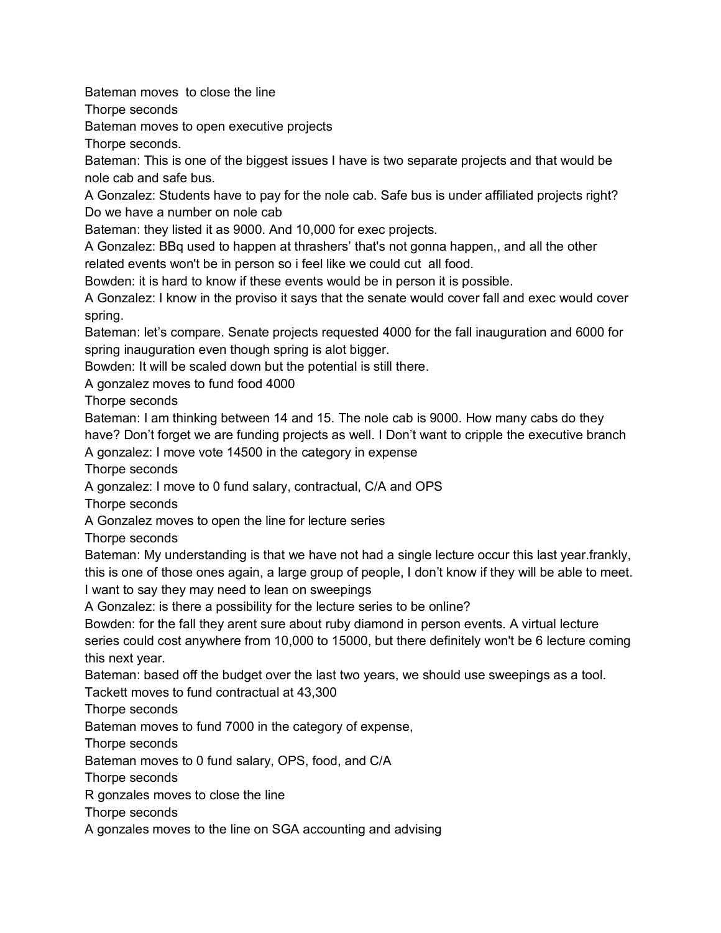Bateman moves to close the line

Thorpe seconds

Bateman moves to open executive projects

Thorpe seconds.

Bateman: This is one of the biggest issues I have is two separate projects and that would be nole cab and safe bus.

A Gonzalez: Students have to pay for the nole cab. Safe bus is under affiliated projects right? Do we have a number on nole cab

Bateman: they listed it as 9000. And 10,000 for exec projects.

A Gonzalez: BBq used to happen at thrashers' that's not gonna happen,, and all the other related events won't be in person so i feel like we could cut all food.

Bowden: it is hard to know if these events would be in person it is possible.

A Gonzalez: I know in the proviso it says that the senate would cover fall and exec would cover spring.

Bateman: let's compare. Senate projects requested 4000 for the fall inauguration and 6000 for spring inauguration even though spring is alot bigger.

Bowden: It will be scaled down but the potential is still there.

A gonzalez moves to fund food 4000

Thorpe seconds

Bateman: I am thinking between 14 and 15. The nole cab is 9000. How many cabs do they have? Don't forget we are funding projects as well. I Don't want to cripple the executive branch A gonzalez: I move vote 14500 in the category in expense

Thorpe seconds

A gonzalez: I move to 0 fund salary, contractual, C/A and OPS

Thorpe seconds

A Gonzalez moves to open the line for lecture series

Thorpe seconds

Bateman: My understanding is that we have not had a single lecture occur this last year.frankly, this is one of those ones again, a large group of people, I don't know if they will be able to meet. I want to say they may need to lean on sweepings

A Gonzalez: is there a possibility for the lecture series to be online?

Bowden: for the fall they arent sure about ruby diamond in person events. A virtual lecture series could cost anywhere from 10,000 to 15000, but there definitely won't be 6 lecture coming this next year.

Bateman: based off the budget over the last two years, we should use sweepings as a tool. Tackett moves to fund contractual at 43,300

Thorpe seconds

Bateman moves to fund 7000 in the category of expense,

Thorpe seconds

Bateman moves to 0 fund salary, OPS, food, and C/A

Thorpe seconds

R gonzales moves to close the line

Thorpe seconds

A gonzales moves to the line on SGA accounting and advising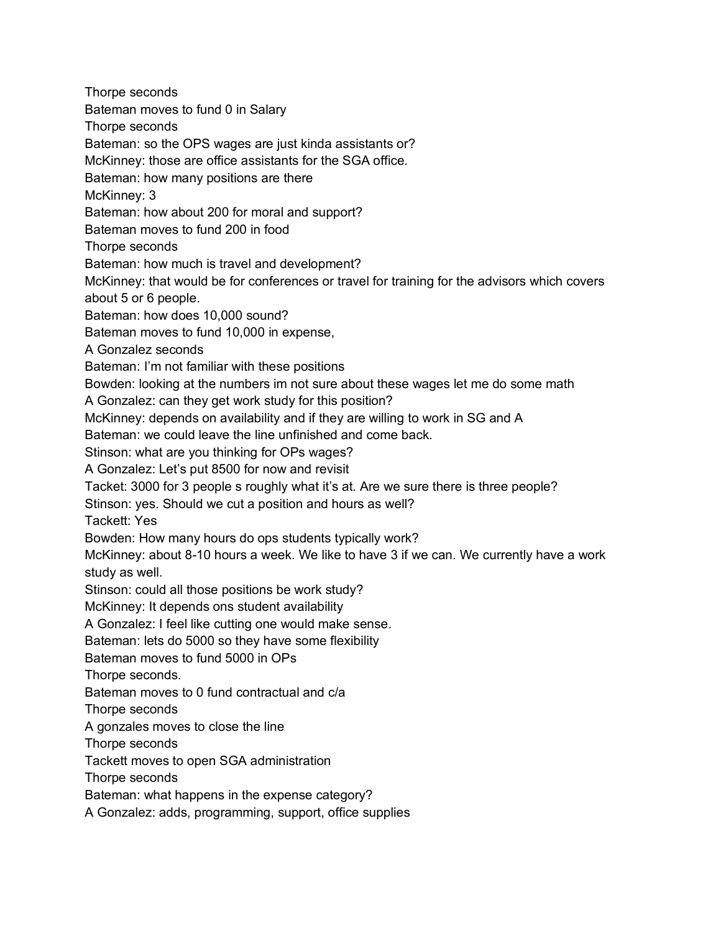Thorpe seconds Bateman moves to fund 0 in Salary Thorpe seconds Bateman: so the OPS wages are just kinda assistants or? McKinney: those are office assistants for the SGA office. Bateman: how many positions are there McKinney: 3 Bateman: how about 200 for moral and support? Bateman moves to fund 200 in food Thorpe seconds Bateman: how much is travel and development? McKinney: that would be for conferences or travel for training for the advisors which covers about 5 or 6 people. Bateman: how does 10,000 sound? Bateman moves to fund 10,000 in expense, A Gonzalez seconds Bateman: I'm not familiar with these positions Bowden: looking at the numbers im not sure about these wages let me do some math A Gonzalez: can they get work study for this position? McKinney: depends on availability and if they are willing to work in SG and A Bateman: we could leave the line unfinished and come back. Stinson: what are you thinking for OPs wages? A Gonzalez: Let's put 8500 for now and revisit Tacket: 3000 for 3 people s roughly what it's at. Are we sure there is three people? Stinson: yes. Should we cut a position and hours as well? Tackett: Yes Bowden: How many hours do ops students typically work? McKinney: about 8-10 hours a week. We like to have 3 if we can. We currently have a work study as well. Stinson: could all those positions be work study? McKinney: It depends ons student availability A Gonzalez: I feel like cutting one would make sense. Bateman: lets do 5000 so they have some flexibility Bateman moves to fund 5000 in OPs Thorpe seconds. Bateman moves to 0 fund contractual and c/a Thorpe seconds A gonzales moves to close the line Thorpe seconds Tackett moves to open SGA administration Thorpe seconds Bateman: what happens in the expense category? A Gonzalez: adds, programming, support, office supplies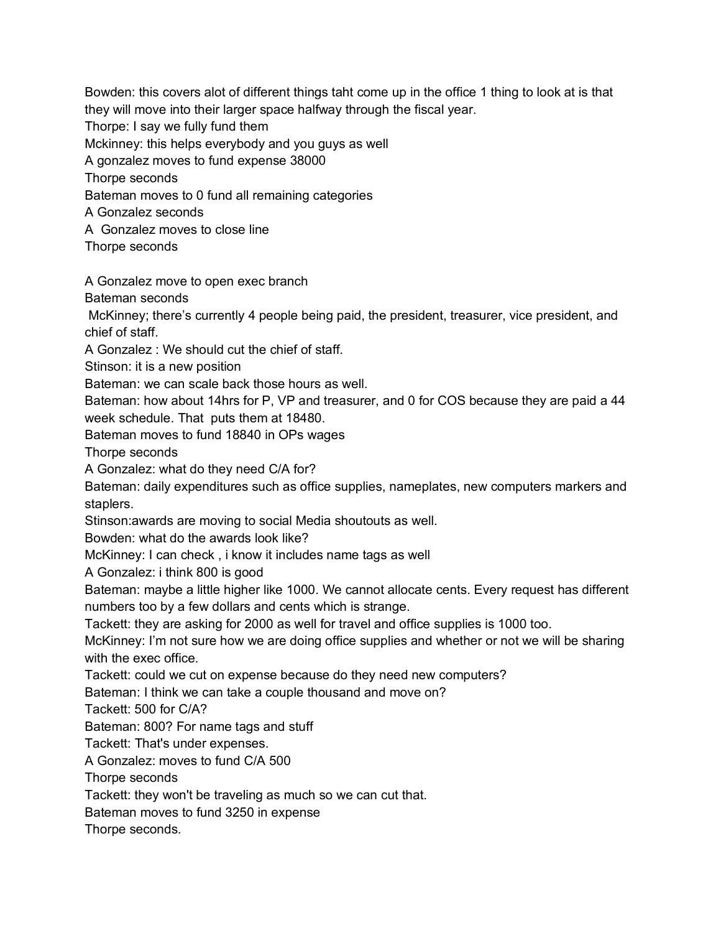Thorpe: I say we fully fund them Mckinney: this helps everybody and you guys as well A gonzalez moves to fund expense 38000 Thorpe seconds Bateman moves to 0 fund all remaining categories A Gonzalez seconds A Gonzalez moves to close line Thorpe seconds A Gonzalez move to open exec branch Bateman seconds McKinney; there's currently 4 people being paid, the president, treasurer, vice president, and chief of staff. A Gonzalez : We should cut the chief of staff. Stinson: it is a new position Bateman: we can scale back those hours as well. Bateman: how about 14hrs for P, VP and treasurer, and 0 for COS because they are paid a 44 week schedule. That puts them at 18480. Bateman moves to fund 18840 in OPs wages Thorpe seconds A Gonzalez: what do they need C/A for? Bateman: daily expenditures such as office supplies, nameplates, new computers markers and staplers. Stinson:awards are moving to social Media shoutouts as well. Bowden: what do the awards look like? McKinney: I can check , i know it includes name tags as well A Gonzalez: i think 800 is good Bateman: maybe a little higher like 1000. We cannot allocate cents. Every request has different numbers too by a few dollars and cents which is strange. Tackett: they are asking for 2000 as well for travel and office supplies is 1000 too. McKinney: I'm not sure how we are doing office supplies and whether or not we will be sharing with the exec office. Tackett: could we cut on expense because do they need new computers? Bateman: I think we can take a couple thousand and move on? Tackett: 500 for C/A? Bateman: 800? For name tags and stuff Tackett: That's under expenses. A Gonzalez: moves to fund C/A 500 Thorpe seconds Tackett: they won't be traveling as much so we can cut that. Bateman moves to fund 3250 in expense Thorpe seconds.

Bowden: this covers alot of different things taht come up in the office 1 thing to look at is that

they will move into their larger space halfway through the fiscal year.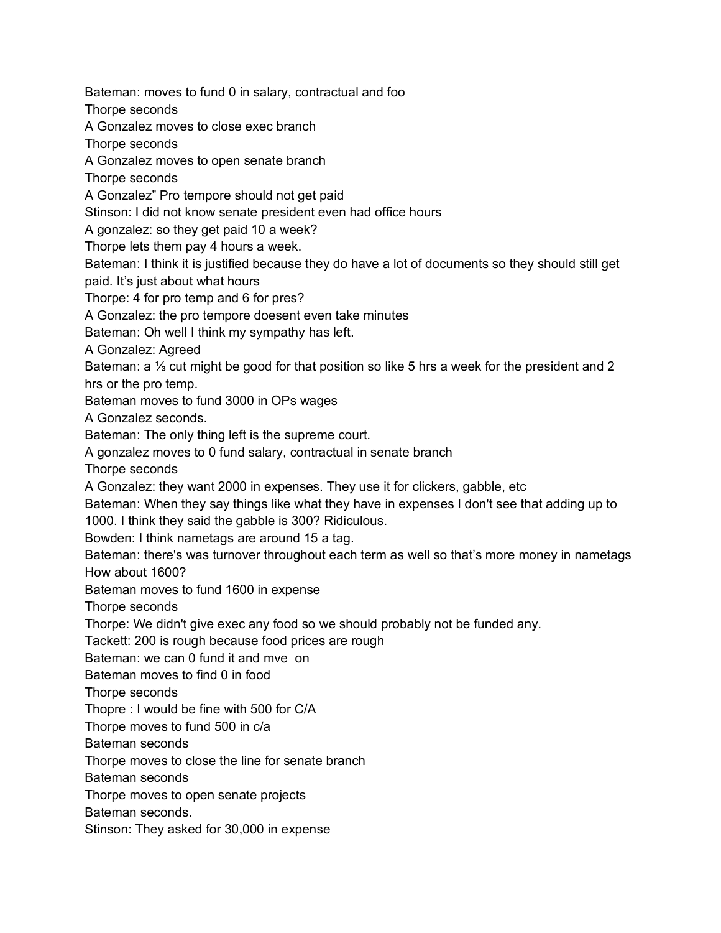Bateman: moves to fund 0 in salary, contractual and foo Thorpe seconds A Gonzalez moves to close exec branch Thorpe seconds A Gonzalez moves to open senate branch Thorpe seconds A Gonzalez" Pro tempore should not get paid Stinson: I did not know senate president even had office hours A gonzalez: so they get paid 10 a week? Thorpe lets them pay 4 hours a week. Bateman: I think it is justified because they do have a lot of documents so they should still get paid. It's just about what hours Thorpe: 4 for pro temp and 6 for pres? A Gonzalez: the pro tempore doesent even take minutes Bateman: Oh well I think my sympathy has left. A Gonzalez: Agreed Bateman: a ⅓ cut might be good for that position so like 5 hrs a week for the president and 2 hrs or the pro temp. Bateman moves to fund 3000 in OPs wages A Gonzalez seconds. Bateman: The only thing left is the supreme court. A gonzalez moves to 0 fund salary, contractual in senate branch Thorpe seconds A Gonzalez: they want 2000 in expenses. They use it for clickers, gabble, etc Bateman: When they say things like what they have in expenses I don't see that adding up to 1000. I think they said the gabble is 300? Ridiculous. Bowden: I think nametags are around 15 a tag. Bateman: there's was turnover throughout each term as well so that's more money in nametags How about 1600? Bateman moves to fund 1600 in expense Thorpe seconds Thorpe: We didn't give exec any food so we should probably not be funded any. Tackett: 200 is rough because food prices are rough Bateman: we can 0 fund it and mve on Bateman moves to find 0 in food Thorpe seconds Thopre : I would be fine with 500 for C/A Thorpe moves to fund 500 in c/a Bateman seconds Thorpe moves to close the line for senate branch Bateman seconds Thorpe moves to open senate projects Bateman seconds. Stinson: They asked for 30,000 in expense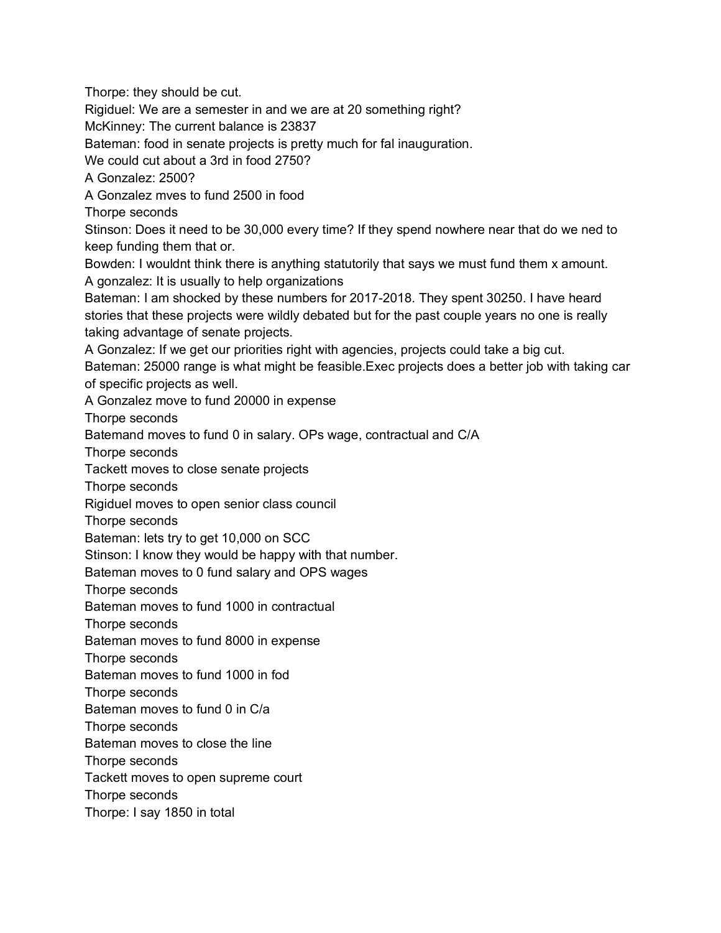Thorpe: they should be cut.

Rigiduel: We are a semester in and we are at 20 something right?

McKinney: The current balance is 23837

Bateman: food in senate projects is pretty much for fal inauguration.

We could cut about a 3rd in food 2750?

A Gonzalez: 2500?

A Gonzalez mves to fund 2500 in food

Thorpe seconds

Stinson: Does it need to be 30,000 every time? If they spend nowhere near that do we ned to keep funding them that or.

Bowden: I wouldnt think there is anything statutorily that says we must fund them x amount. A gonzalez: It is usually to help organizations

Bateman: I am shocked by these numbers for 2017-2018. They spent 30250. I have heard stories that these projects were wildly debated but for the past couple years no one is really taking advantage of senate projects.

A Gonzalez: If we get our priorities right with agencies, projects could take a big cut. Bateman: 25000 range is what might be feasible.Exec projects does a better job with taking car of specific projects as well.

A Gonzalez move to fund 20000 in expense

Thorpe seconds

Batemand moves to fund 0 in salary. OPs wage, contractual and C/A

Thorpe seconds

Tackett moves to close senate projects

Thorpe seconds

Rigiduel moves to open senior class council

Thorpe seconds

Bateman: lets try to get 10,000 on SCC

Stinson: I know they would be happy with that number.

Bateman moves to 0 fund salary and OPS wages

Thorpe seconds

Bateman moves to fund 1000 in contractual

Thorpe seconds

Bateman moves to fund 8000 in expense

Thorpe seconds

Bateman moves to fund 1000 in fod

Thorpe seconds

Bateman moves to fund 0 in C/a

Thorpe seconds

Bateman moves to close the line

Thorpe seconds

Tackett moves to open supreme court

Thorpe seconds

Thorpe: I say 1850 in total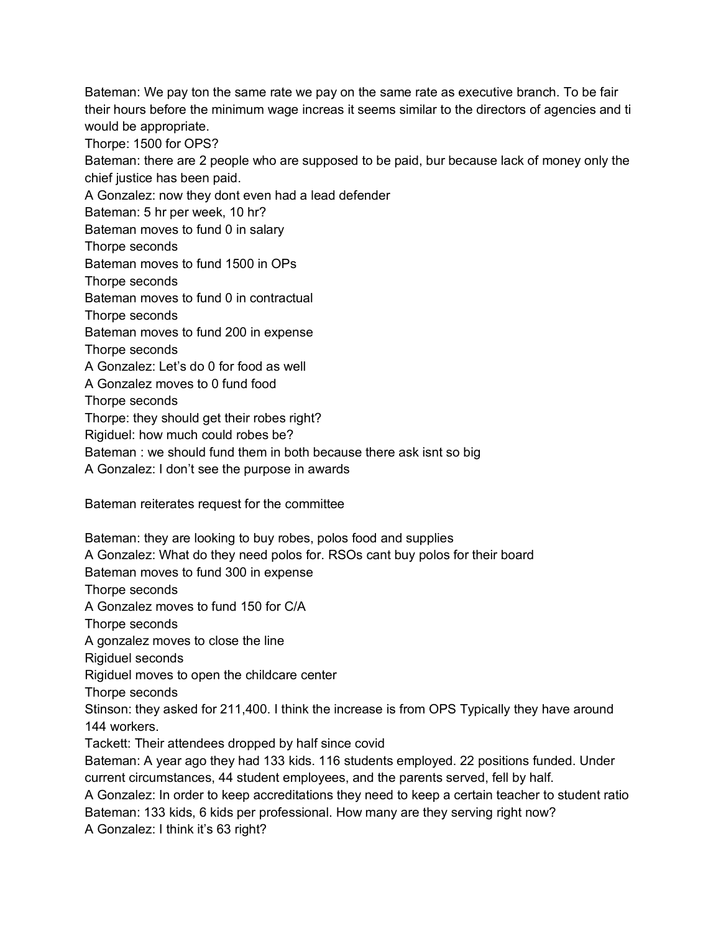Bateman: We pay ton the same rate we pay on the same rate as executive branch. To be fair their hours before the minimum wage increas it seems similar to the directors of agencies and ti would be appropriate.

Thorpe: 1500 for OPS?

Bateman: there are 2 people who are supposed to be paid, bur because lack of money only the chief justice has been paid.

A Gonzalez: now they dont even had a lead defender

Bateman: 5 hr per week, 10 hr?

Bateman moves to fund 0 in salary

Thorpe seconds

Bateman moves to fund 1500 in OPs

Thorpe seconds

Bateman moves to fund 0 in contractual

Thorpe seconds

Bateman moves to fund 200 in expense

Thorpe seconds

A Gonzalez: Let's do 0 for food as well

A Gonzalez moves to 0 fund food

Thorpe seconds

Thorpe: they should get their robes right?

Rigiduel: how much could robes be?

Bateman : we should fund them in both because there ask isnt so big

A Gonzalez: I don't see the purpose in awards

Bateman reiterates request for the committee

Bateman: they are looking to buy robes, polos food and supplies A Gonzalez: What do they need polos for. RSOs cant buy polos for their board Bateman moves to fund 300 in expense Thorpe seconds A Gonzalez moves to fund 150 for C/A Thorpe seconds A gonzalez moves to close the line Rigiduel seconds Rigiduel moves to open the childcare center Thorpe seconds Stinson: they asked for 211,400. I think the increase is from OPS Typically they have around 144 workers. Tackett: Their attendees dropped by half since covid Bateman: A year ago they had 133 kids. 116 students employed. 22 positions funded. Under current circumstances, 44 student employees, and the parents served, fell by half. A Gonzalez: In order to keep accreditations they need to keep a certain teacher to student ratio Bateman: 133 kids, 6 kids per professional. How many are they serving right now?

A Gonzalez: I think it's 63 right?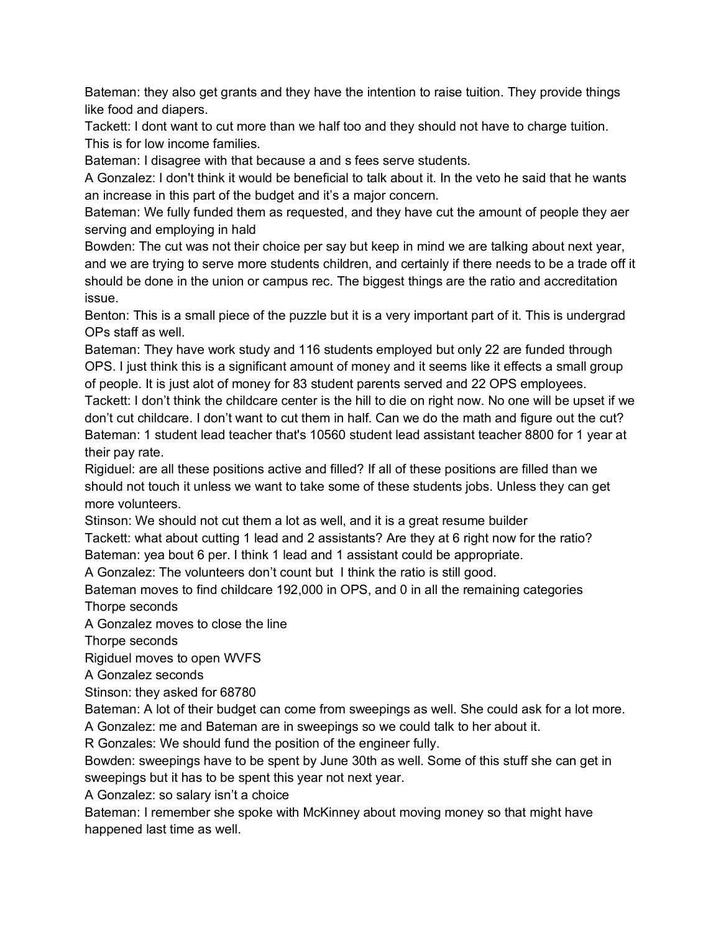Bateman: they also get grants and they have the intention to raise tuition. They provide things like food and diapers.

Tackett: I dont want to cut more than we half too and they should not have to charge tuition. This is for low income families.

Bateman: I disagree with that because a and s fees serve students.

A Gonzalez: I don't think it would be beneficial to talk about it. In the veto he said that he wants an increase in this part of the budget and it's a major concern.

Bateman: We fully funded them as requested, and they have cut the amount of people they aer serving and employing in hald

Bowden: The cut was not their choice per say but keep in mind we are talking about next year, and we are trying to serve more students children, and certainly if there needs to be a trade off it should be done in the union or campus rec. The biggest things are the ratio and accreditation issue.

Benton: This is a small piece of the puzzle but it is a very important part of it. This is undergrad OPs staff as well.

Bateman: They have work study and 116 students employed but only 22 are funded through OPS. I just think this is a significant amount of money and it seems like it effects a small group of people. It is just alot of money for 83 student parents served and 22 OPS employees.

Tackett: I don't think the childcare center is the hill to die on right now. No one will be upset if we don't cut childcare. I don't want to cut them in half. Can we do the math and figure out the cut? Bateman: 1 student lead teacher that's 10560 student lead assistant teacher 8800 for 1 year at their pay rate.

Rigiduel: are all these positions active and filled? If all of these positions are filled than we should not touch it unless we want to take some of these students jobs. Unless they can get more volunteers.

Stinson: We should not cut them a lot as well, and it is a great resume builder

Tackett: what about cutting 1 lead and 2 assistants? Are they at 6 right now for the ratio? Bateman: yea bout 6 per. I think 1 lead and 1 assistant could be appropriate.

A Gonzalez: The volunteers don't count but I think the ratio is still good.

Bateman moves to find childcare 192,000 in OPS, and 0 in all the remaining categories Thorpe seconds

A Gonzalez moves to close the line

Thorpe seconds

Rigiduel moves to open WVFS

A Gonzalez seconds

Stinson: they asked for 68780

Bateman: A lot of their budget can come from sweepings as well. She could ask for a lot more.

A Gonzalez: me and Bateman are in sweepings so we could talk to her about it.

R Gonzales: We should fund the position of the engineer fully.

Bowden: sweepings have to be spent by June 30th as well. Some of this stuff she can get in sweepings but it has to be spent this year not next year.

A Gonzalez: so salary isn't a choice

Bateman: I remember she spoke with McKinney about moving money so that might have happened last time as well.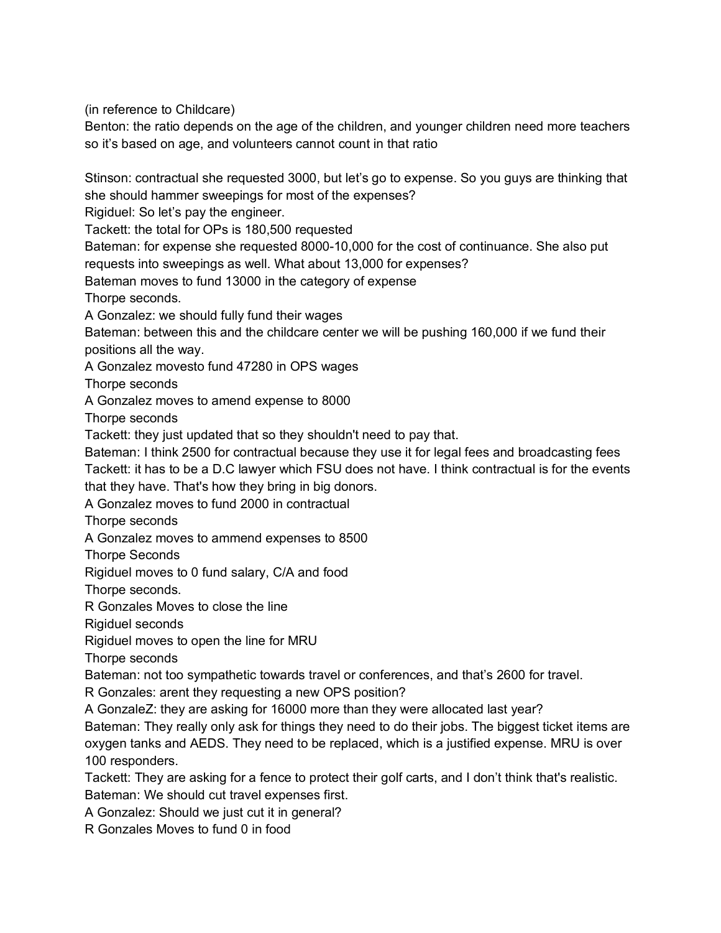(in reference to Childcare)

Benton: the ratio depends on the age of the children, and younger children need more teachers so it's based on age, and volunteers cannot count in that ratio

Stinson: contractual she requested 3000, but let's go to expense. So you guys are thinking that she should hammer sweepings for most of the expenses?

Rigiduel: So let's pay the engineer.

Tackett: the total for OPs is 180,500 requested

Bateman: for expense she requested 8000-10,000 for the cost of continuance. She also put requests into sweepings as well. What about 13,000 for expenses?

Bateman moves to fund 13000 in the category of expense

Thorpe seconds.

A Gonzalez: we should fully fund their wages

Bateman: between this and the childcare center we will be pushing 160,000 if we fund their positions all the way.

A Gonzalez movesto fund 47280 in OPS wages

Thorpe seconds

A Gonzalez moves to amend expense to 8000

Thorpe seconds

Tackett: they just updated that so they shouldn't need to pay that.

Bateman: I think 2500 for contractual because they use it for legal fees and broadcasting fees Tackett: it has to be a D.C lawyer which FSU does not have. I think contractual is for the events that they have. That's how they bring in big donors.

A Gonzalez moves to fund 2000 in contractual

Thorpe seconds

A Gonzalez moves to ammend expenses to 8500

Thorpe Seconds

Rigiduel moves to 0 fund salary, C/A and food

Thorpe seconds.

R Gonzales Moves to close the line

Rigiduel seconds

Rigiduel moves to open the line for MRU

Thorpe seconds

Bateman: not too sympathetic towards travel or conferences, and that's 2600 for travel.

R Gonzales: arent they requesting a new OPS position?

A GonzaleZ: they are asking for 16000 more than they were allocated last year?

Bateman: They really only ask for things they need to do their jobs. The biggest ticket items are oxygen tanks and AEDS. They need to be replaced, which is a justified expense. MRU is over 100 responders.

Tackett: They are asking for a fence to protect their golf carts, and I don't think that's realistic. Bateman: We should cut travel expenses first.

A Gonzalez: Should we just cut it in general?

R Gonzales Moves to fund 0 in food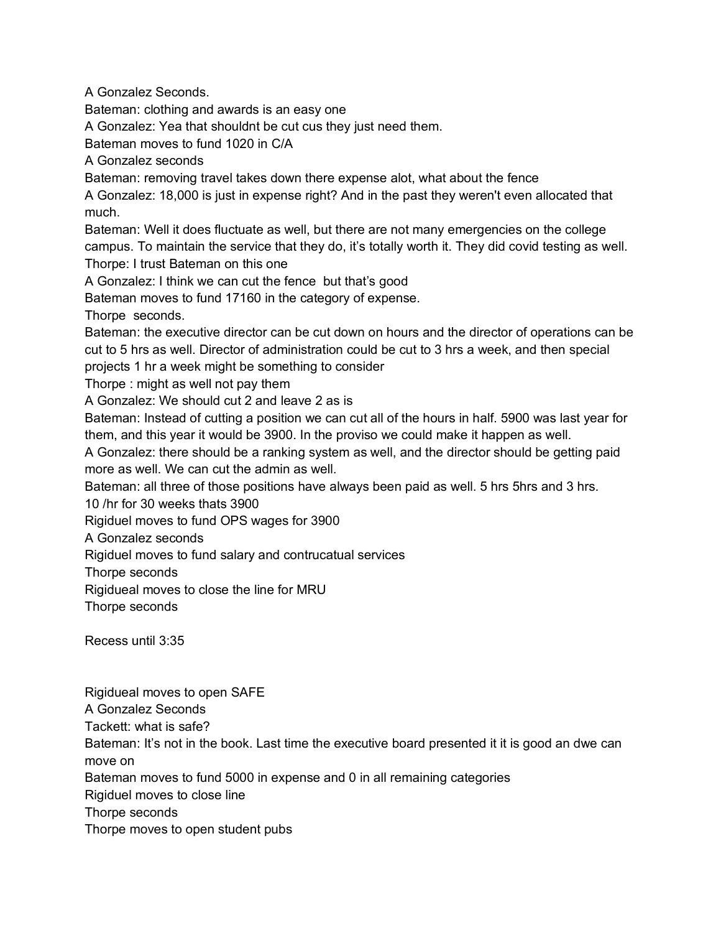A Gonzalez Seconds.

Bateman: clothing and awards is an easy one

A Gonzalez: Yea that shouldnt be cut cus they just need them.

Bateman moves to fund 1020 in C/A

A Gonzalez seconds

Bateman: removing travel takes down there expense alot, what about the fence

A Gonzalez: 18,000 is just in expense right? And in the past they weren't even allocated that much.

Bateman: Well it does fluctuate as well, but there are not many emergencies on the college campus. To maintain the service that they do, it's totally worth it. They did covid testing as well. Thorpe: I trust Bateman on this one

A Gonzalez: I think we can cut the fence but that's good

Bateman moves to fund 17160 in the category of expense.

Thorpe seconds.

Bateman: the executive director can be cut down on hours and the director of operations can be cut to 5 hrs as well. Director of administration could be cut to 3 hrs a week, and then special projects 1 hr a week might be something to consider

Thorpe : might as well not pay them

A Gonzalez: We should cut 2 and leave 2 as is

Bateman: Instead of cutting a position we can cut all of the hours in half. 5900 was last year for them, and this year it would be 3900. In the proviso we could make it happen as well.

A Gonzalez: there should be a ranking system as well, and the director should be getting paid more as well. We can cut the admin as well.

Bateman: all three of those positions have always been paid as well. 5 hrs 5hrs and 3 hrs.

10 /hr for 30 weeks thats 3900

Rigiduel moves to fund OPS wages for 3900

A Gonzalez seconds

Rigiduel moves to fund salary and contrucatual services

Thorpe seconds

Rigidueal moves to close the line for MRU

Thorpe seconds

Recess until 3:35

Rigidueal moves to open SAFE

A Gonzalez Seconds

Tackett: what is safe?

Bateman: It's not in the book. Last time the executive board presented it it is good an dwe can move on

Bateman moves to fund 5000 in expense and 0 in all remaining categories

Rigiduel moves to close line

Thorpe seconds

Thorpe moves to open student pubs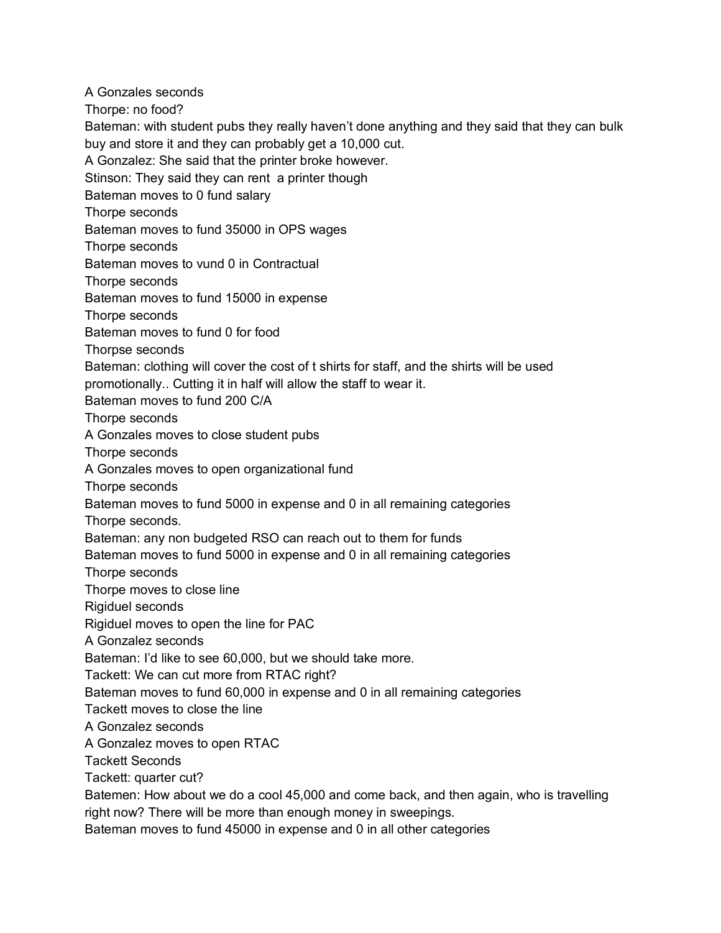A Gonzales seconds Thorpe: no food? Bateman: with student pubs they really haven't done anything and they said that they can bulk buy and store it and they can probably get a 10,000 cut. A Gonzalez: She said that the printer broke however. Stinson: They said they can rent a printer though Bateman moves to 0 fund salary Thorpe seconds Bateman moves to fund 35000 in OPS wages Thorpe seconds Bateman moves to vund 0 in Contractual Thorpe seconds Bateman moves to fund 15000 in expense Thorpe seconds Bateman moves to fund 0 for food Thorpse seconds Bateman: clothing will cover the cost of t shirts for staff, and the shirts will be used promotionally.. Cutting it in half will allow the staff to wear it. Bateman moves to fund 200 C/A Thorpe seconds A Gonzales moves to close student pubs Thorpe seconds A Gonzales moves to open organizational fund Thorpe seconds Bateman moves to fund 5000 in expense and 0 in all remaining categories Thorpe seconds. Bateman: any non budgeted RSO can reach out to them for funds Bateman moves to fund 5000 in expense and 0 in all remaining categories Thorpe seconds Thorpe moves to close line Rigiduel seconds Rigiduel moves to open the line for PAC A Gonzalez seconds Bateman: I'd like to see 60,000, but we should take more. Tackett: We can cut more from RTAC right? Bateman moves to fund 60,000 in expense and 0 in all remaining categories Tackett moves to close the line A Gonzalez seconds A Gonzalez moves to open RTAC Tackett Seconds Tackett: quarter cut? Batemen: How about we do a cool 45,000 and come back, and then again, who is travelling right now? There will be more than enough money in sweepings.

Bateman moves to fund 45000 in expense and 0 in all other categories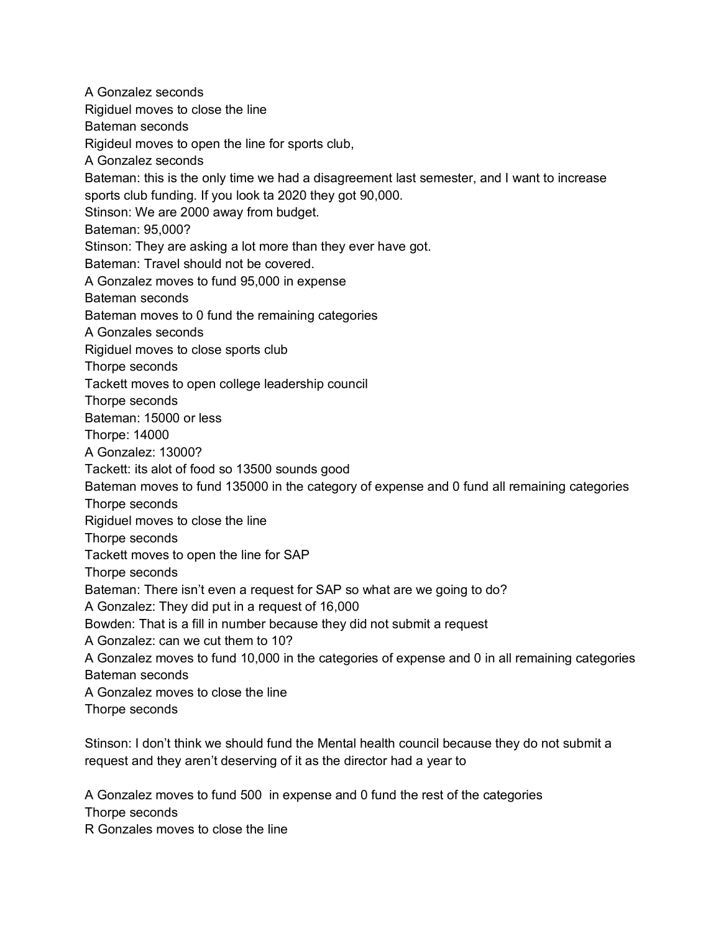A Gonzalez seconds Rigiduel moves to close the line Bateman seconds Rigideul moves to open the line for sports club, A Gonzalez seconds Bateman: this is the only time we had a disagreement last semester, and I want to increase sports club funding. If you look ta 2020 they got 90,000. Stinson: We are 2000 away from budget. Bateman: 95,000? Stinson: They are asking a lot more than they ever have got. Bateman: Travel should not be covered. A Gonzalez moves to fund 95,000 in expense Bateman seconds Bateman moves to 0 fund the remaining categories A Gonzales seconds Rigiduel moves to close sports club Thorpe seconds Tackett moves to open college leadership council Thorpe seconds Bateman: 15000 or less Thorpe: 14000 A Gonzalez: 13000? Tackett: its alot of food so 13500 sounds good Bateman moves to fund 135000 in the category of expense and 0 fund all remaining categories Thorpe seconds Rigiduel moves to close the line Thorpe seconds Tackett moves to open the line for SAP Thorpe seconds Bateman: There isn't even a request for SAP so what are we going to do? A Gonzalez: They did put in a request of 16,000 Bowden: That is a fill in number because they did not submit a request A Gonzalez: can we cut them to 10? A Gonzalez moves to fund 10,000 in the categories of expense and 0 in all remaining categories Bateman seconds A Gonzalez moves to close the line Thorpe seconds

Stinson: I don't think we should fund the Mental health council because they do not submit a request and they aren't deserving of it as the director had a year to

A Gonzalez moves to fund 500 in expense and 0 fund the rest of the categories Thorpe seconds

R Gonzales moves to close the line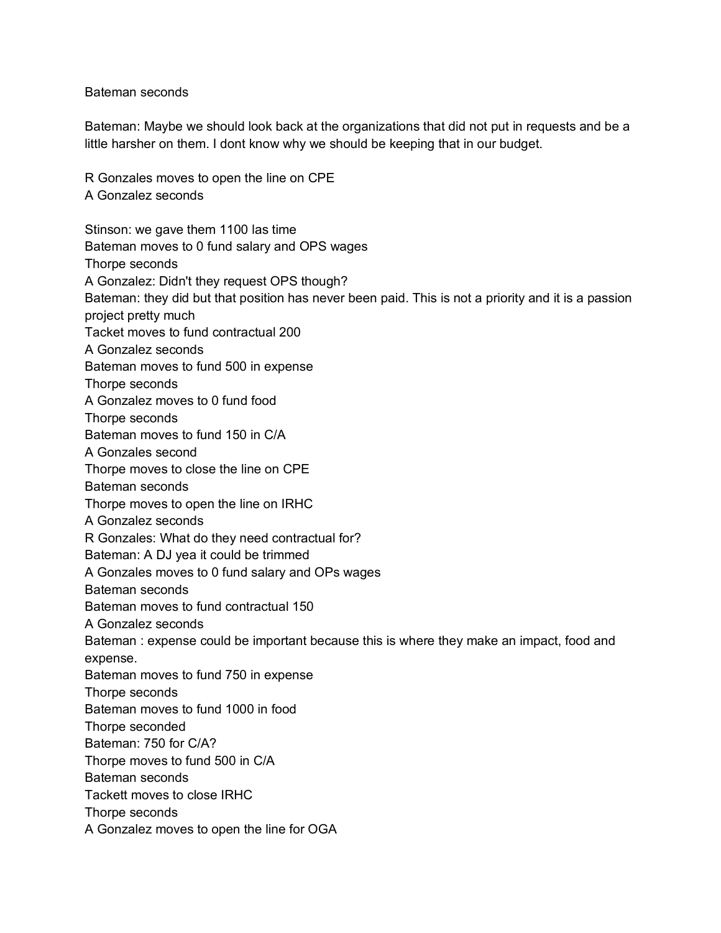Bateman seconds

Bateman: Maybe we should look back at the organizations that did not put in requests and be a little harsher on them. I dont know why we should be keeping that in our budget.

R Gonzales moves to open the line on CPE A Gonzalez seconds

Stinson: we gave them 1100 las time Bateman moves to 0 fund salary and OPS wages Thorpe seconds A Gonzalez: Didn't they request OPS though? Bateman: they did but that position has never been paid. This is not a priority and it is a passion project pretty much Tacket moves to fund contractual 200 A Gonzalez seconds Bateman moves to fund 500 in expense Thorpe seconds A Gonzalez moves to 0 fund food Thorpe seconds Bateman moves to fund 150 in C/A A Gonzales second Thorpe moves to close the line on CPE Bateman seconds Thorpe moves to open the line on IRHC A Gonzalez seconds R Gonzales: What do they need contractual for? Bateman: A DJ yea it could be trimmed A Gonzales moves to 0 fund salary and OPs wages Bateman seconds Bateman moves to fund contractual 150 A Gonzalez seconds Bateman : expense could be important because this is where they make an impact, food and expense. Bateman moves to fund 750 in expense Thorpe seconds Bateman moves to fund 1000 in food Thorpe seconded Bateman: 750 for C/A? Thorpe moves to fund 500 in C/A Bateman seconds Tackett moves to close IRHC Thorpe seconds A Gonzalez moves to open the line for OGA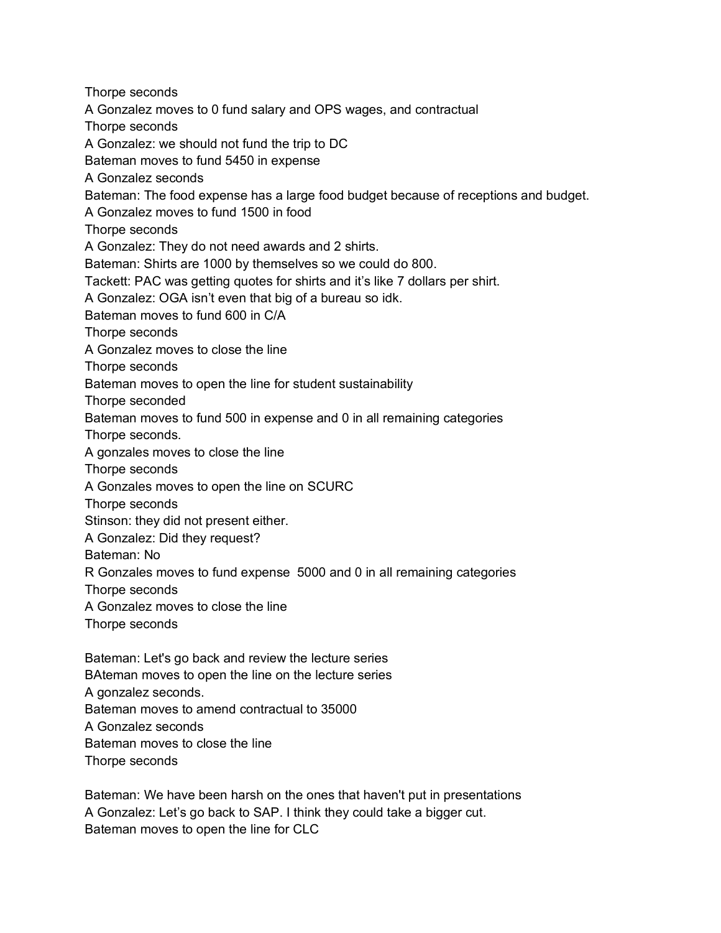Thorpe seconds A Gonzalez moves to 0 fund salary and OPS wages, and contractual Thorpe seconds A Gonzalez: we should not fund the trip to DC Bateman moves to fund 5450 in expense A Gonzalez seconds Bateman: The food expense has a large food budget because of receptions and budget. A Gonzalez moves to fund 1500 in food Thorpe seconds A Gonzalez: They do not need awards and 2 shirts. Bateman: Shirts are 1000 by themselves so we could do 800. Tackett: PAC was getting quotes for shirts and it's like 7 dollars per shirt. A Gonzalez: OGA isn't even that big of a bureau so idk. Bateman moves to fund 600 in C/A Thorpe seconds A Gonzalez moves to close the line Thorpe seconds Bateman moves to open the line for student sustainability Thorpe seconded Bateman moves to fund 500 in expense and 0 in all remaining categories Thorpe seconds. A gonzales moves to close the line Thorpe seconds A Gonzales moves to open the line on SCURC Thorpe seconds Stinson: they did not present either. A Gonzalez: Did they request? Bateman: No R Gonzales moves to fund expense 5000 and 0 in all remaining categories Thorpe seconds A Gonzalez moves to close the line Thorpe seconds Bateman: Let's go back and review the lecture series BAteman moves to open the line on the lecture series A gonzalez seconds.

Bateman moves to amend contractual to 35000

A Gonzalez seconds

Bateman moves to close the line

Thorpe seconds

Bateman: We have been harsh on the ones that haven't put in presentations A Gonzalez: Let's go back to SAP. I think they could take a bigger cut. Bateman moves to open the line for CLC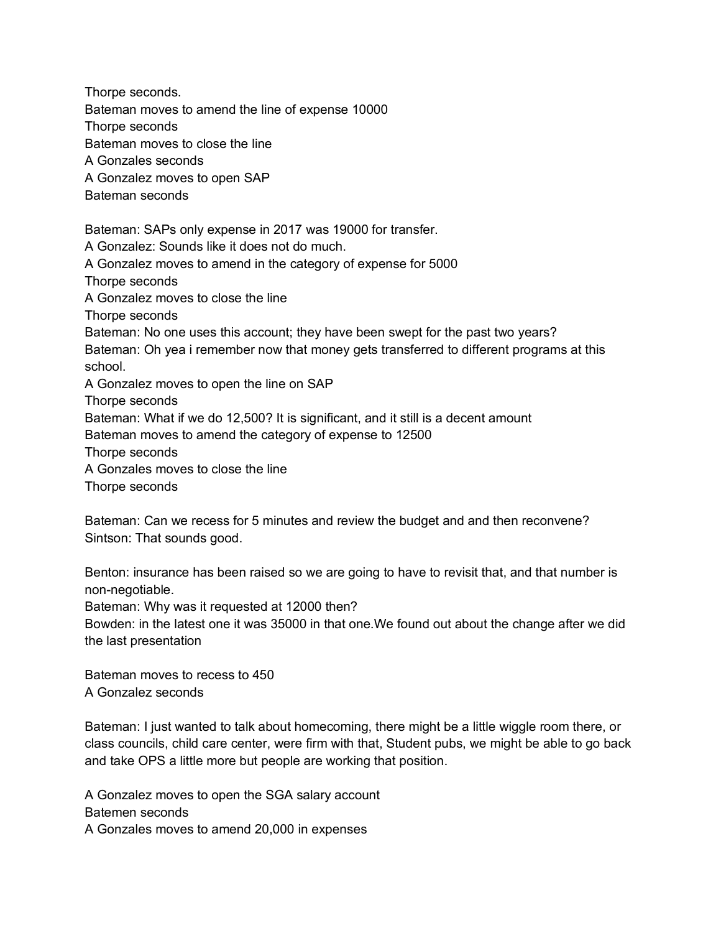Thorpe seconds. Bateman moves to amend the line of expense 10000 Thorpe seconds Bateman moves to close the line A Gonzales seconds A Gonzalez moves to open SAP Bateman seconds Bateman: SAPs only expense in 2017 was 19000 for transfer. A Gonzalez: Sounds like it does not do much. A Gonzalez moves to amend in the category of expense for 5000 Thorpe seconds A Gonzalez moves to close the line Thorpe seconds Bateman: No one uses this account; they have been swept for the past two years? Bateman: Oh yea i remember now that money gets transferred to different programs at this school. A Gonzalez moves to open the line on SAP Thorpe seconds Bateman: What if we do 12,500? It is significant, and it still is a decent amount Bateman moves to amend the category of expense to 12500 Thorpe seconds A Gonzales moves to close the line Thorpe seconds

Bateman: Can we recess for 5 minutes and review the budget and and then reconvene? Sintson: That sounds good.

Benton: insurance has been raised so we are going to have to revisit that, and that number is non-negotiable.

Bateman: Why was it requested at 12000 then?

Bowden: in the latest one it was 35000 in that one.We found out about the change after we did the last presentation

Bateman moves to recess to 450 A Gonzalez seconds

Bateman: I just wanted to talk about homecoming, there might be a little wiggle room there, or class councils, child care center, were firm with that, Student pubs, we might be able to go back and take OPS a little more but people are working that position.

A Gonzalez moves to open the SGA salary account Batemen seconds A Gonzales moves to amend 20,000 in expenses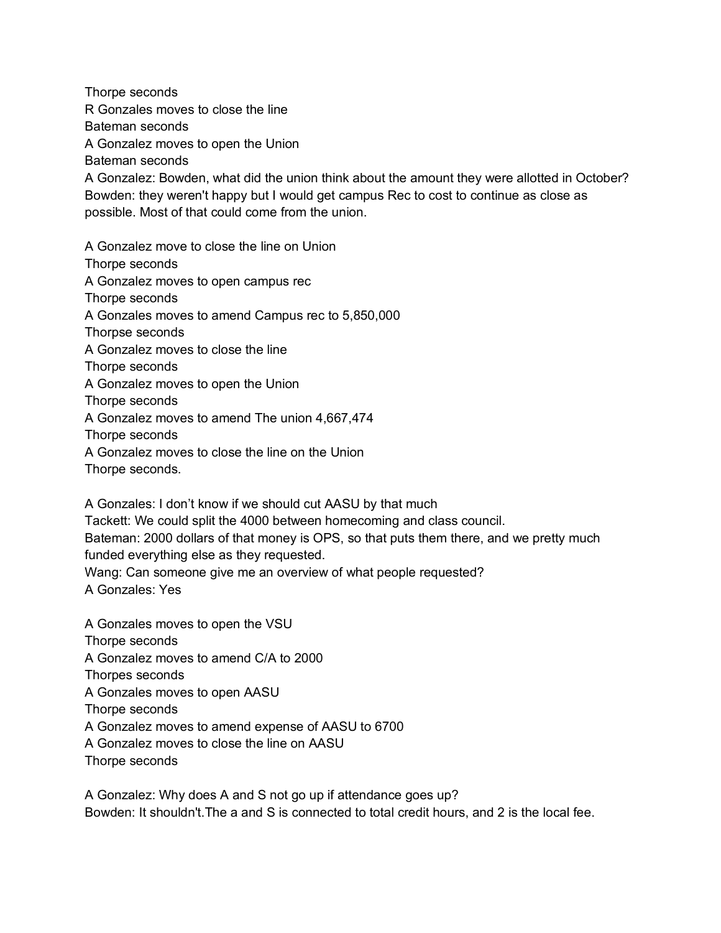Thorpe seconds R Gonzales moves to close the line Bateman seconds A Gonzalez moves to open the Union Bateman seconds A Gonzalez: Bowden, what did the union think about the amount they were allotted in October? Bowden: they weren't happy but I would get campus Rec to cost to continue as close as possible. Most of that could come from the union. A Gonzalez move to close the line on Union Thorpe seconds A Gonzalez moves to open campus rec Thorpe seconds A Gonzales moves to amend Campus rec to 5,850,000 Thorpse seconds A Gonzalez moves to close the line Thorpe seconds A Gonzalez moves to open the Union Thorpe seconds A Gonzalez moves to amend The union 4,667,474 Thorpe seconds A Gonzalez moves to close the line on the Union

Thorpe seconds.

A Gonzales: I don't know if we should cut AASU by that much

Tackett: We could split the 4000 between homecoming and class council.

Bateman: 2000 dollars of that money is OPS, so that puts them there, and we pretty much funded everything else as they requested.

Wang: Can someone give me an overview of what people requested?

A Gonzales: Yes

A Gonzales moves to open the VSU Thorpe seconds A Gonzalez moves to amend C/A to 2000 Thorpes seconds A Gonzales moves to open AASU Thorpe seconds A Gonzalez moves to amend expense of AASU to 6700 A Gonzalez moves to close the line on AASU Thorpe seconds

A Gonzalez: Why does A and S not go up if attendance goes up? Bowden: It shouldn't.The a and S is connected to total credit hours, and 2 is the local fee.